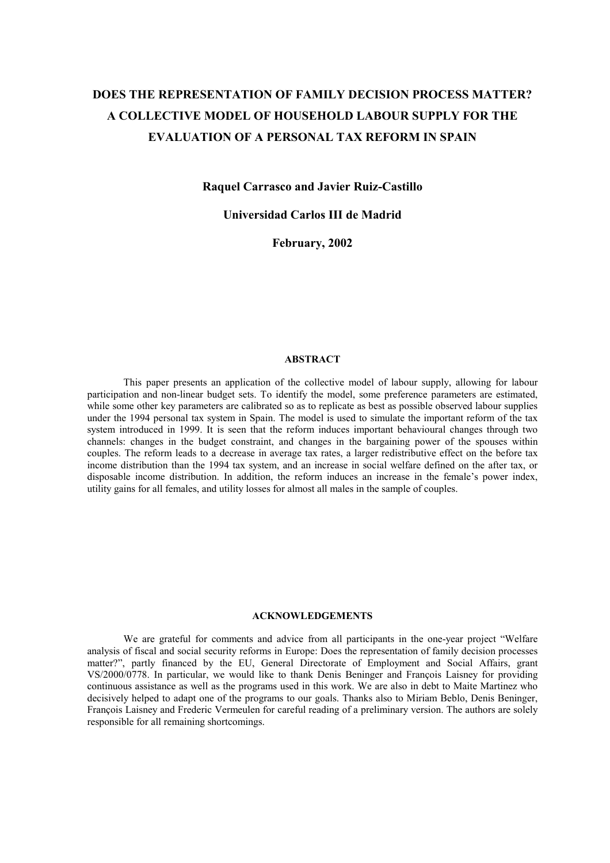# **DOES THE REPRESENTATION OF FAMILY DECISION PROCESS MATTER? A COLLECTIVE MODEL OF HOUSEHOLD LABOUR SUPPLY FOR THE EVALUATION OF A PERSONAL TAX REFORM IN SPAIN**

**Raquel Carrasco and Javier Ruiz-Castillo** 

**Universidad Carlos III de Madrid** 

**February, 2002** 

# **ABSTRACT**

 This paper presents an application of the collective model of labour supply, allowing for labour participation and non-linear budget sets. To identify the model, some preference parameters are estimated, while some other key parameters are calibrated so as to replicate as best as possible observed labour supplies under the 1994 personal tax system in Spain. The model is used to simulate the important reform of the tax system introduced in 1999. It is seen that the reform induces important behavioural changes through two channels: changes in the budget constraint, and changes in the bargaining power of the spouses within couples. The reform leads to a decrease in average tax rates, a larger redistributive effect on the before tax income distribution than the 1994 tax system, and an increase in social welfare defined on the after tax, or disposable income distribution. In addition, the reform induces an increase in the female's power index, utility gains for all females, and utility losses for almost all males in the sample of couples.

# **ACKNOWLEDGEMENTS**

We are grateful for comments and advice from all participants in the one-year project "Welfare analysis of fiscal and social security reforms in Europe: Does the representation of family decision processes matter?", partly financed by the EU, General Directorate of Employment and Social Affairs, grant VS/2000/0778. In particular, we would like to thank Denis Beninger and François Laisney for providing continuous assistance as well as the programs used in this work. We are also in debt to Maite Martinez who decisively helped to adapt one of the programs to our goals. Thanks also to Miriam Beblo, Denis Beninger, François Laisney and Frederic Vermeulen for careful reading of a preliminary version. The authors are solely responsible for all remaining shortcomings.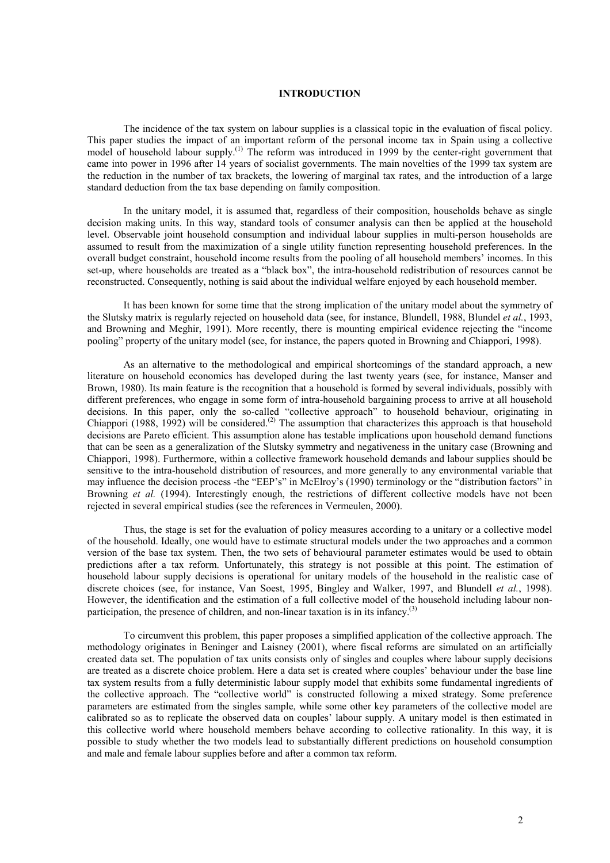# **INTRODUCTION**

The incidence of the tax system on labour supplies is a classical topic in the evaluation of fiscal policy. This paper studies the impact of an important reform of the personal income tax in Spain using a collective model of household labour supply.<sup>(1)</sup> The reform was introduced in 1999 by the center-right government that came into power in 1996 after 14 years of socialist governments. The main novelties of the 1999 tax system are the reduction in the number of tax brackets, the lowering of marginal tax rates, and the introduction of a large standard deduction from the tax base depending on family composition.

In the unitary model, it is assumed that, regardless of their composition, households behave as single decision making units. In this way, standard tools of consumer analysis can then be applied at the household level. Observable joint household consumption and individual labour supplies in multi-person households are assumed to result from the maximization of a single utility function representing household preferences. In the overall budget constraint, household income results from the pooling of all household members' incomes. In this set-up, where households are treated as a "black box", the intra-household redistribution of resources cannot be reconstructed. Consequently, nothing is said about the individual welfare enjoyed by each household member.

It has been known for some time that the strong implication of the unitary model about the symmetry of the Slutsky matrix is regularly rejected on household data (see, for instance, Blundell, 1988, Blundel *et al.*, 1993, and Browning and Meghir, 1991). More recently, there is mounting empirical evidence rejecting the "income pooling" property of the unitary model (see, for instance, the papers quoted in Browning and Chiappori, 1998).

As an alternative to the methodological and empirical shortcomings of the standard approach, a new literature on household economics has developed during the last twenty years (see, for instance, Manser and Brown, 1980). Its main feature is the recognition that a household is formed by several individuals, possibly with different preferences, who engage in some form of intra-household bargaining process to arrive at all household decisions. In this paper, only the so-called "collective approach" to household behaviour, originating in Chiappori (1988, 1992) will be considered.<sup>(2)</sup> The assumption that characterizes this approach is that household decisions are Pareto efficient. This assumption alone has testable implications upon household demand functions that can be seen as a generalization of the Slutsky symmetry and negativeness in the unitary case (Browning and Chiappori, 1998). Furthermore, within a collective framework household demands and labour supplies should be sensitive to the intra-household distribution of resources, and more generally to any environmental variable that may influence the decision process -the "EEP's" in McElroy's (1990) terminology or the "distribution factors" in Browning *et al.* (1994). Interestingly enough, the restrictions of different collective models have not been rejected in several empirical studies (see the references in Vermeulen, 2000).

Thus, the stage is set for the evaluation of policy measures according to a unitary or a collective model of the household. Ideally, one would have to estimate structural models under the two approaches and a common version of the base tax system. Then, the two sets of behavioural parameter estimates would be used to obtain predictions after a tax reform. Unfortunately, this strategy is not possible at this point. The estimation of household labour supply decisions is operational for unitary models of the household in the realistic case of discrete choices (see, for instance, Van Soest, 1995, Bingley and Walker, 1997, and Blundell *et al.*, 1998). However, the identification and the estimation of a full collective model of the household including labour nonparticipation, the presence of children, and non-linear taxation is in its infancy.<sup>(3)</sup>

To circumvent this problem, this paper proposes a simplified application of the collective approach. The methodology originates in Beninger and Laisney (2001), where fiscal reforms are simulated on an artificially created data set. The population of tax units consists only of singles and couples where labour supply decisions are treated as a discrete choice problem. Here a data set is created where couples' behaviour under the base line tax system results from a fully deterministic labour supply model that exhibits some fundamental ingredients of the collective approach. The "collective world" is constructed following a mixed strategy. Some preference parameters are estimated from the singles sample, while some other key parameters of the collective model are calibrated so as to replicate the observed data on couples' labour supply. A unitary model is then estimated in this collective world where household members behave according to collective rationality. In this way, it is possible to study whether the two models lead to substantially different predictions on household consumption and male and female labour supplies before and after a common tax reform.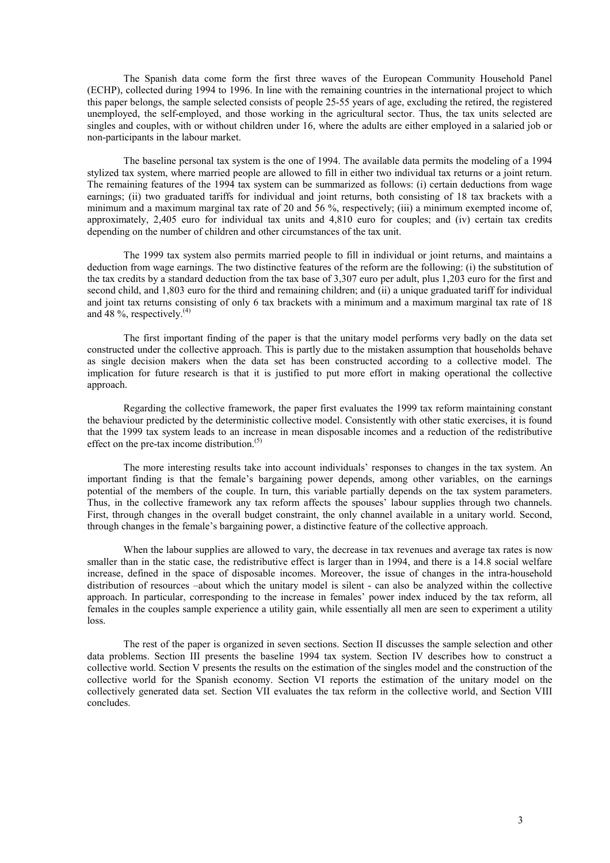The Spanish data come form the first three waves of the European Community Household Panel (ECHP), collected during 1994 to 1996. In line with the remaining countries in the international project to which this paper belongs, the sample selected consists of people 25-55 years of age, excluding the retired, the registered unemployed, the self-employed, and those working in the agricultural sector. Thus, the tax units selected are singles and couples, with or without children under 16, where the adults are either employed in a salaried job or non-participants in the labour market.

The baseline personal tax system is the one of 1994. The available data permits the modeling of a 1994 stylized tax system, where married people are allowed to fill in either two individual tax returns or a joint return. The remaining features of the 1994 tax system can be summarized as follows: (i) certain deductions from wage earnings; (ii) two graduated tariffs for individual and joint returns, both consisting of 18 tax brackets with a minimum and a maximum marginal tax rate of 20 and 56 %, respectively; (iii) a minimum exempted income of, approximately, 2,405 euro for individual tax units and 4,810 euro for couples; and (iv) certain tax credits depending on the number of children and other circumstances of the tax unit.

The 1999 tax system also permits married people to fill in individual or joint returns, and maintains a deduction from wage earnings. The two distinctive features of the reform are the following: (i) the substitution of the tax credits by a standard deduction from the tax base of 3,307 euro per adult, plus 1,203 euro for the first and second child, and 1,803 euro for the third and remaining children; and (ii) a unique graduated tariff for individual and joint tax returns consisting of only 6 tax brackets with a minimum and a maximum marginal tax rate of 18 and 48 %, respectively.<sup>(4)</sup>

The first important finding of the paper is that the unitary model performs very badly on the data set constructed under the collective approach. This is partly due to the mistaken assumption that households behave as single decision makers when the data set has been constructed according to a collective model. The implication for future research is that it is justified to put more effort in making operational the collective approach.

Regarding the collective framework, the paper first evaluates the 1999 tax reform maintaining constant the behaviour predicted by the deterministic collective model. Consistently with other static exercises, it is found that the 1999 tax system leads to an increase in mean disposable incomes and a reduction of the redistributive effect on the pre-tax income distribution.<sup>(5)</sup>

The more interesting results take into account individuals' responses to changes in the tax system. An important finding is that the female's bargaining power depends, among other variables, on the earnings potential of the members of the couple. In turn, this variable partially depends on the tax system parameters. Thus, in the collective framework any tax reform affects the spouses' labour supplies through two channels. First, through changes in the overall budget constraint, the only channel available in a unitary world. Second, through changes in the female's bargaining power, a distinctive feature of the collective approach.

When the labour supplies are allowed to vary, the decrease in tax revenues and average tax rates is now smaller than in the static case, the redistributive effect is larger than in 1994, and there is a 14.8 social welfare increase, defined in the space of disposable incomes. Moreover, the issue of changes in the intra-household distribution of resources –about which the unitary model is silent - can also be analyzed within the collective approach. In particular, corresponding to the increase in females' power index induced by the tax reform, all females in the couples sample experience a utility gain, while essentially all men are seen to experiment a utility loss.

The rest of the paper is organized in seven sections. Section II discusses the sample selection and other data problems. Section III presents the baseline 1994 tax system. Section IV describes how to construct a collective world. Section V presents the results on the estimation of the singles model and the construction of the collective world for the Spanish economy. Section VI reports the estimation of the unitary model on the collectively generated data set. Section VII evaluates the tax reform in the collective world, and Section VIII concludes.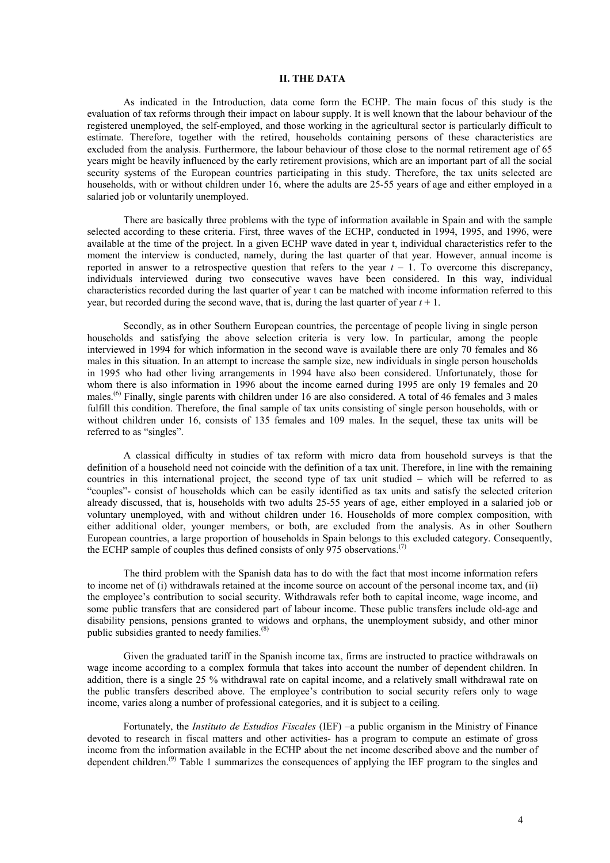# **II. THE DATA**

As indicated in the Introduction, data come form the ECHP. The main focus of this study is the evaluation of tax reforms through their impact on labour supply. It is well known that the labour behaviour of the registered unemployed, the self-employed, and those working in the agricultural sector is particularly difficult to estimate. Therefore, together with the retired, households containing persons of these characteristics are excluded from the analysis. Furthermore, the labour behaviour of those close to the normal retirement age of 65 years might be heavily influenced by the early retirement provisions, which are an important part of all the social security systems of the European countries participating in this study. Therefore, the tax units selected are households, with or without children under 16, where the adults are 25-55 years of age and either employed in a salaried job or voluntarily unemployed.

There are basically three problems with the type of information available in Spain and with the sample selected according to these criteria. First, three waves of the ECHP, conducted in 1994, 1995, and 1996, were available at the time of the project. In a given ECHP wave dated in year t, individual characteristics refer to the moment the interview is conducted, namely, during the last quarter of that year. However, annual income is reported in answer to a retrospective question that refers to the year  $t - 1$ . To overcome this discrepancy, individuals interviewed during two consecutive waves have been considered. In this way, individual characteristics recorded during the last quarter of year t can be matched with income information referred to this year, but recorded during the second wave, that is, during the last quarter of year *t* + 1.

Secondly, as in other Southern European countries, the percentage of people living in single person households and satisfying the above selection criteria is very low. In particular, among the people interviewed in 1994 for which information in the second wave is available there are only 70 females and 86 males in this situation. In an attempt to increase the sample size, new individuals in single person households in 1995 who had other living arrangements in 1994 have also been considered. Unfortunately, those for whom there is also information in 1996 about the income earned during 1995 are only 19 females and 20 males.<sup>(6)</sup> Finally, single parents with children under 16 are also considered. A total of 46 females and 3 males fulfill this condition. Therefore, the final sample of tax units consisting of single person households, with or without children under 16, consists of 135 females and 109 males. In the sequel, these tax units will be referred to as "singles".

A classical difficulty in studies of tax reform with micro data from household surveys is that the definition of a household need not coincide with the definition of a tax unit. Therefore, in line with the remaining countries in this international project, the second type of tax unit studied – which will be referred to as "couples"- consist of households which can be easily identified as tax units and satisfy the selected criterion already discussed, that is, households with two adults 25-55 years of age, either employed in a salaried job or voluntary unemployed, with and without children under 16. Households of more complex composition, with either additional older, younger members, or both, are excluded from the analysis. As in other Southern European countries, a large proportion of households in Spain belongs to this excluded category. Consequently, the ECHP sample of couples thus defined consists of only 975 observations.<sup>(7)</sup>

The third problem with the Spanish data has to do with the fact that most income information refers to income net of (i) withdrawals retained at the income source on account of the personal income tax, and (ii) the employee's contribution to social security. Withdrawals refer both to capital income, wage income, and some public transfers that are considered part of labour income. These public transfers include old-age and disability pensions, pensions granted to widows and orphans, the unemployment subsidy, and other minor public subsidies granted to needy families.<sup>(8)</sup>

Given the graduated tariff in the Spanish income tax, firms are instructed to practice withdrawals on wage income according to a complex formula that takes into account the number of dependent children. In addition, there is a single 25 % withdrawal rate on capital income, and a relatively small withdrawal rate on the public transfers described above. The employee's contribution to social security refers only to wage income, varies along a number of professional categories, and it is subject to a ceiling.

Fortunately, the *Instituto de Estudios Fiscales* (IEF) –a public organism in the Ministry of Finance devoted to research in fiscal matters and other activities- has a program to compute an estimate of gross income from the information available in the ECHP about the net income described above and the number of dependent children.<sup>(9)</sup> Table 1 summarizes the consequences of applying the IEF program to the singles and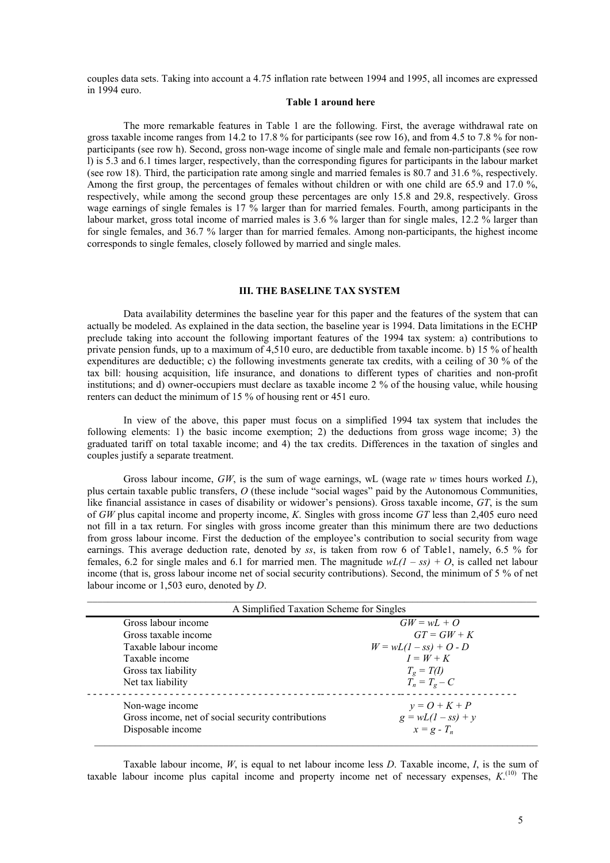couples data sets. Taking into account a 4.75 inflation rate between 1994 and 1995, all incomes are expressed in 1994 euro.

#### **Table 1 around here**

The more remarkable features in Table 1 are the following. First, the average withdrawal rate on gross taxable income ranges from 14.2 to 17.8 % for participants (see row 16), and from 4.5 to 7.8 % for nonparticipants (see row h). Second, gross non-wage income of single male and female non-participants (see row l) is 5.3 and 6.1 times larger, respectively, than the corresponding figures for participants in the labour market (see row 18). Third, the participation rate among single and married females is 80.7 and 31.6 %, respectively. Among the first group, the percentages of females without children or with one child are 65.9 and 17.0 %, respectively, while among the second group these percentages are only 15.8 and 29.8, respectively. Gross wage earnings of single females is 17 % larger than for married females. Fourth, among participants in the labour market, gross total income of married males is 3.6 % larger than for single males, 12.2 % larger than for single females, and 36.7 % larger than for married females. Among non-participants, the highest income corresponds to single females, closely followed by married and single males.

# **III. THE BASELINE TAX SYSTEM**

Data availability determines the baseline year for this paper and the features of the system that can actually be modeled. As explained in the data section, the baseline year is 1994. Data limitations in the ECHP preclude taking into account the following important features of the 1994 tax system: a) contributions to private pension funds, up to a maximum of 4,510 euro, are deductible from taxable income. b) 15 % of health expenditures are deductible; c) the following investments generate tax credits, with a ceiling of 30 % of the tax bill: housing acquisition, life insurance, and donations to different types of charities and non-profit institutions; and d) owner-occupiers must declare as taxable income 2 % of the housing value, while housing renters can deduct the minimum of 15 % of housing rent or 451 euro.

In view of the above, this paper must focus on a simplified 1994 tax system that includes the following elements: 1) the basic income exemption; 2) the deductions from gross wage income; 3) the graduated tariff on total taxable income; and 4) the tax credits. Differences in the taxation of singles and couples justify a separate treatment.

Gross labour income, *GW*, is the sum of wage earnings, wL (wage rate *w* times hours worked *L*), plus certain taxable public transfers, *O* (these include "social wages" paid by the Autonomous Communities, like financial assistance in cases of disability or widower's pensions). Gross taxable income, *GT*, is the sum of *GW* plus capital income and property income, *K*. Singles with gross income *GT* less than 2,405 euro need not fill in a tax return. For singles with gross income greater than this minimum there are two deductions from gross labour income. First the deduction of the employee's contribution to social security from wage earnings. This average deduction rate, denoted by *ss*, is taken from row 6 of Table1, namely, 6.5 % for females, 6.2 for single males and 6.1 for married men. The magnitude  $wL(1 - ss) + O$ , is called net labour income (that is, gross labour income net of social security contributions). Second, the minimum of 5 % of net labour income or 1,503 euro, denoted by *D*.

| A Simplified Taxation Scheme for Singles           |                          |
|----------------------------------------------------|--------------------------|
| Gross labour income                                | $GW = wL + Q$            |
| Gross taxable income                               | $GT = GW + K$            |
| Taxable labour income                              | $W = wL(1 - ss) + O - D$ |
| Taxable income                                     | $I = W + K$              |
| Gross tax liability                                | $T_g = T(I)$             |
| Net tax liability                                  | $T_n = T_g - C$          |
| Non-wage income                                    | $y = Q + K + P$          |
| Gross income, net of social security contributions | $g = wL(1 - ss) + y$     |
| Disposable income                                  | $x = g - T_n$            |

Taxable labour income, *W*, is equal to net labour income less *D*. Taxable income, *I*, is the sum of taxable labour income plus capital income and property income net of necessary expenses,  $K^{(10)}$ . The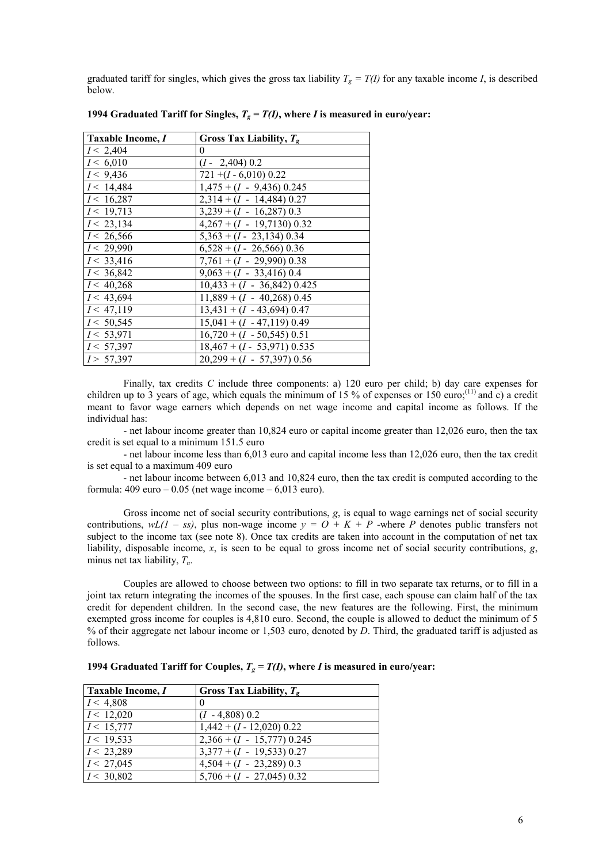graduated tariff for singles, which gives the gross tax liability  $T_g = T(I)$  for any taxable income *I*, is described below.

| Taxable Income, I | Gross Tax Liability, $T_{g}$  |
|-------------------|-------------------------------|
| I < 2,404         | 0                             |
| I < 6,010         | $(I - 2,404)$ 0.2             |
| I < 9,436         | $721 + (I - 6,010) 0.22$      |
| I < 14,484        | $1,475 + (I - 9,436) 0.245$   |
| I < 16,287        | $2,314 + (I - 14,484) 0.27$   |
| I < 19,713        | $3,239 + (I - 16,287) 0.3$    |
| I < 23,134        | $4,267 + (I - 19,7130) 0.32$  |
| I < 26,566        | $5,363 + (I - 23,134)$ 0.34   |
| I < 29,990        | $6,528 + (I - 26,566) 0.36$   |
| I < 33,416        | $7,761 + (I - 29,990) 0.38$   |
| I < 36,842        | $9,063 + (I - 33,416)$ 0.4    |
| I < 40,268        | $10,433 + (I - 36,842) 0.425$ |
| I < 43,694        | $11,889 + (I - 40,268) 0.45$  |
| I < 47,119        | $13,431 + (I - 43,694) 0.47$  |
| I < 50,545        | $15,041 + (I - 47,119) 0.49$  |
| I < 53,971        | $16,720 + (I - 50,545) 0.51$  |
| I < 57,397        | $18,467 + (I - 53,971) 0.535$ |
| I > 57,397        | $20,299 + (I - 57,397)$ 0.56  |

**1994 Graduated Tariff for Singles,**  $T_g = T(I)$ **, where** *I* **is measured in euro/year:** 

Finally, tax credits *C* include three components: a) 120 euro per child; b) day care expenses for children up to 3 years of age, which equals the minimum of 15 % of expenses or 150 euro;<sup>(11)</sup> and c) a credit meant to favor wage earners which depends on net wage income and capital income as follows. If the individual has:

- net labour income greater than 10,824 euro or capital income greater than 12,026 euro, then the tax credit is set equal to a minimum 151.5 euro

- net labour income less than 6,013 euro and capital income less than 12,026 euro, then the tax credit is set equal to a maximum 409 euro

 - net labour income between 6,013 and 10,824 euro, then the tax credit is computed according to the formula:  $409 \text{ euro} - 0.05$  (net wage income  $-6.013 \text{ euro}$ ).

Gross income net of social security contributions, *g*, is equal to wage earnings net of social security contributions,  $wL(1 - ss)$ , plus non-wage income  $y = O + K + P$  -where P denotes public transfers not subject to the income tax (see note 8). Once tax credits are taken into account in the computation of net tax liability, disposable income, *x*, is seen to be equal to gross income net of social security contributions, *g*, minus net tax liability,  $T_n$ .

Couples are allowed to choose between two options: to fill in two separate tax returns, or to fill in a joint tax return integrating the incomes of the spouses. In the first case, each spouse can claim half of the tax credit for dependent children. In the second case, the new features are the following. First, the minimum exempted gross income for couples is 4,810 euro. Second, the couple is allowed to deduct the minimum of 5 % of their aggregate net labour income or 1,503 euro, denoted by *D*. Third, the graduated tariff is adjusted as follows.

| Taxable Income, I | Gross Tax Liability, $T_{g}$ |
|-------------------|------------------------------|
| I < 4,808         | $\theta$                     |
| I < 12,020        | $(I - 4,808)$ 0.2            |
| I < 15,777        | $1,442 + (I - 12,020)$ 0.22  |
| I < 19,533        | $2,366 + (I - 15,777)$ 0.245 |
| I < 23,289        | $3,377 + (I - 19,533) 0.27$  |
| I < 27,045        | $4,504 + (I - 23,289) 0.3$   |
| I < 30,802        | $5,706 + (I - 27,045)$ 0.32  |

**1994 Graduated Tariff for Couples,**  $T_g = T(I)$ **, where** *I* **is measured in euro/year:**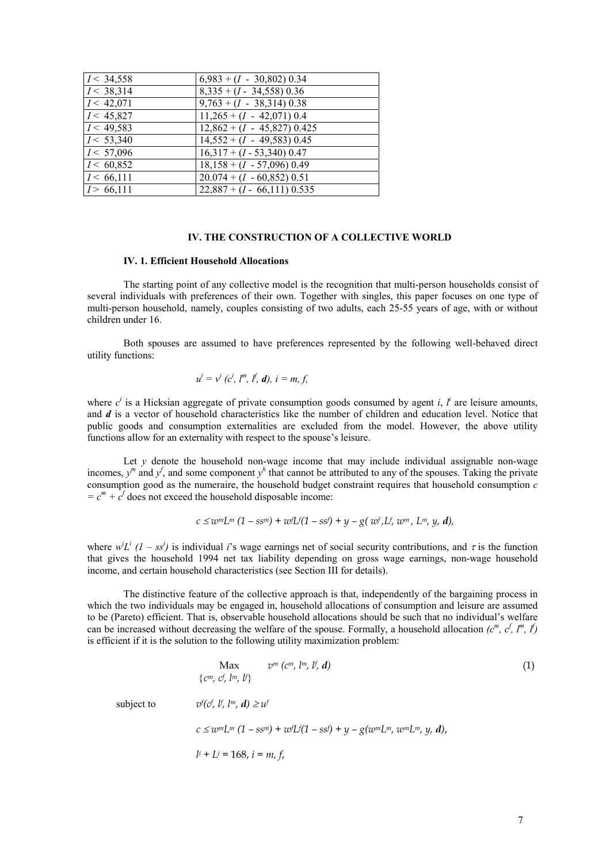| I < 34,558            | $6,983 + (I - 30,802) 0.34$              |
|-----------------------|------------------------------------------|
| I < 38,314            | $8,335 + (I - 34,558) 0.36$              |
| I < 42,071            | $9,763 + (I - 38,314) 0.38$              |
| I < 45,827            | $11,265 + (I - 42,071)$ 0.4              |
| I < 49,583            | $\overline{12,862} + (I - 45,827) 0.425$ |
| I < 53,340            | $14,552 + (I - 49,583) 0.45$             |
| $\overline{I}$ 57,096 | $16,317 + (I - 53,340)$ 0.47             |
| I < 60,852            | $18,158 + (I - 57,096)$ 0.49             |
| I < 66,111            | $20.074 + (I - 60,852) 0.51$             |
| I > 66,111            | $22,887 + (I - 66,111) 0.535$            |

# **IV. THE CONSTRUCTION OF A COLLECTIVE WORLD**

#### **IV. 1. Efficient Household Allocations**

The starting point of any collective model is the recognition that multi-person households consist of several individuals with preferences of their own. Together with singles, this paper focuses on one type of multi-person household, namely, couples consisting of two adults, each 25-55 years of age, with or without children under 16.

Both spouses are assumed to have preferences represented by the following well-behaved direct utility functions:

$$
u^{i} = v^{i} (c^{i}, l^{m}, l^{f}, d), i = m, f,
$$

where  $c^i$  is a Hicksian aggregate of private consumption goods consumed by agent *i*,  $l^i$  are leisure amounts, and *d* is a vector of household characteristics like the number of children and education level. Notice that public goods and consumption externalities are excluded from the model. However, the above utility functions allow for an externality with respect to the spouse's leisure.

Let *y* denote the household non-wage income that may include individual assignable non-wage incomes,  $y^m$  and  $y^f$ , and some component  $y^h$  that cannot be attributed to any of the spouses. Taking the private consumption good as the numeraire, the household budget constraint requires that household consumption *c*   $= c<sup>m</sup> + c<sup>f</sup>$  does not exceed the household disposable income:

$$
c \leq w^m L^m (1 - s s^m) + w^r L^r (1 - s s^r) + y - g(w^r, L^r, w^m, L^m, y, d)
$$

where  $w^i L^i$  (1 – ss<sup>i</sup>) is individual *i*'s wage earnings net of social security contributions, and  $\tau$  is the function that gives the household 1994 net tax liability depending on gross wage earnings, non-wage household income, and certain household characteristics (see Section III for details).

The distinctive feature of the collective approach is that, independently of the bargaining process in which the two individuals may be engaged in, household allocations of consumption and leisure are assumed to be (Pareto) efficient. That is, observable household allocations should be such that no individual's welfare can be increased without decreasing the welfare of the spouse. Formally, a household allocation  $(c^m, c^f, l^m, l^f)$ is efficient if it is the solution to the following utility maximization problem:

$$
\begin{aligned}\n\text{Max} \qquad & v^m \left( c^m, l^m, l^f, d \right) \\
& \{ c^m, c^f, l^m, l^f \} \\
\text{subject to} \qquad & v^f(c^f, l^f, l^m, d) \ge u^f \\
& c \le w^m L^m \left( 1 - \text{ss}^m \right) + w^f L^f (1 - \text{ss}^f) + y - g(w^m L^m, w^m L^m, y, d), \\
& l^i + L^i = 168, \, i = m, f,\n\end{aligned}
$$
\n
$$
(1)
$$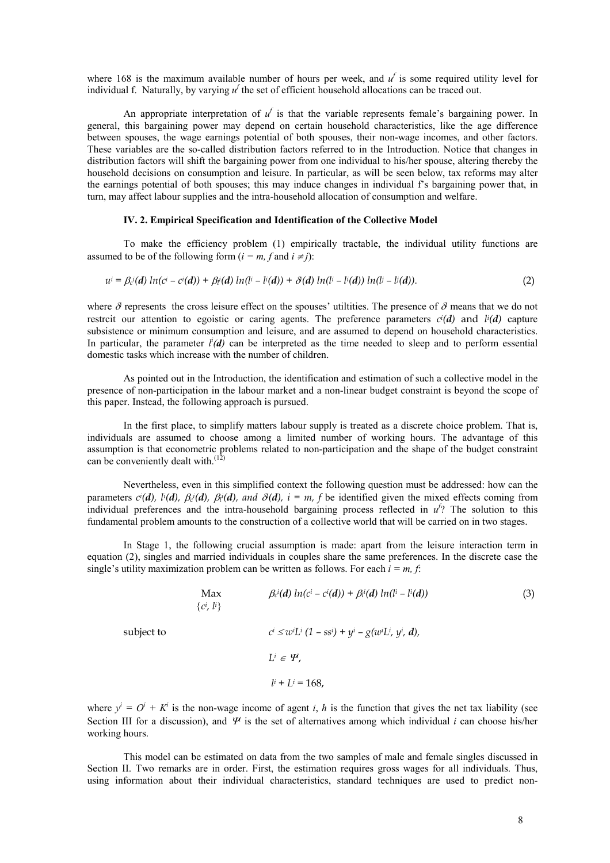where 168 is the maximum available number of hours per week, and  $u^f$  is some required utility level for individual f. Naturally, by varying  $u^f$  the set of efficient household allocations can be traced out.

An appropriate interpretation of  $u^f$  is that the variable represents female's bargaining power. In general, this bargaining power may depend on certain household characteristics, like the age difference between spouses, the wage earnings potential of both spouses, their non-wage incomes, and other factors. These variables are the so-called distribution factors referred to in the Introduction. Notice that changes in distribution factors will shift the bargaining power from one individual to his/her spouse, altering thereby the household decisions on consumption and leisure. In particular, as will be seen below, tax reforms may alter the earnings potential of both spouses; this may induce changes in individual f's bargaining power that, in turn, may affect labour supplies and the intra-household allocation of consumption and welfare.

# **IV. 2. Empirical Specification and Identification of the Collective Model**

To make the efficiency problem (1) empirically tractable, the individual utility functions are assumed to be of the following form  $(i = m, f \text{ and } i \neq j)$ :

$$
u^{i} = \beta_{c}^{i}(d) \ln(c^{i} - c^{i}(d)) + \beta_{i}^{i}(d) \ln(l^{i} - l^{i}(d)) + \delta(d) \ln(l^{i} - l^{i}(d)) \ln(l^{i} - l^{i}(d)).
$$
\n(2)

where  $\delta$  represents the cross leisure effect on the spouses' utilities. The presence of  $\delta$  means that we do not restrcit our attention to egoistic or caring agents. The preference parameters  $c^{i}(d)$  and  $l^{i}(d)$  capture subsistence or minimum consumption and leisure, and are assumed to depend on household characteristics. In particular, the parameter  $l^i(d)$  can be interpreted as the time needed to sleep and to perform essential domestic tasks which increase with the number of children.

As pointed out in the Introduction, the identification and estimation of such a collective model in the presence of non-participation in the labour market and a non-linear budget constraint is beyond the scope of this paper. Instead, the following approach is pursued.

In the first place, to simplify matters labour supply is treated as a discrete choice problem. That is, individuals are assumed to choose among a limited number of working hours. The advantage of this assumption is that econometric problems related to non-participation and the shape of the budget constraint can be conveniently dealt with. $(12)$ 

Nevertheless, even in this simplified context the following question must be addressed: how can the parameters  $c^i(d)$ ,  $l^i(d)$ ,  $\beta_c^i(d)$ ,  $\beta_l^i(d)$ , and  $\delta(d)$ ,  $i = m$ , f be identified given the mixed effects coming from individual preferences and the intra-household bargaining process reflected in  $u^f$ ? The solution to this fundamental problem amounts to the construction of a collective world that will be carried on in two stages.

In Stage 1, the following crucial assumption is made: apart from the leisure interaction term in equation (2), singles and married individuals in couples share the same preferences. In the discrete case the single's utility maximization problem can be written as follows. For each  $i = m$ , f:

subject to

$$
\begin{aligned}\n\text{Max} & \beta_c^i(d) \ln(c^i - c^i(d)) + \beta_l^i(d) \ln(l^i - l^i(d)) \\
\{c^i, l^i\} && \\
\text{subject to} & c^i \le w^i \text{Li} \ (1 - ss^i) + y^i - g(w^i \text{Li}, y^i, d), \\
& \text{Li} \in \mathcal{H}, \\
& l^i + \text{Li} = 168,\n\end{aligned} \tag{3}
$$

where  $y^i = O^i + K^i$  is the non-wage income of agent *i*, *h* is the function that gives the net tax liability (see Section III for a discussion), and  $\Psi$  is the set of alternatives among which individual *i* can choose his/her working hours.

This model can be estimated on data from the two samples of male and female singles discussed in Section II. Two remarks are in order. First, the estimation requires gross wages for all individuals. Thus, using information about their individual characteristics, standard techniques are used to predict non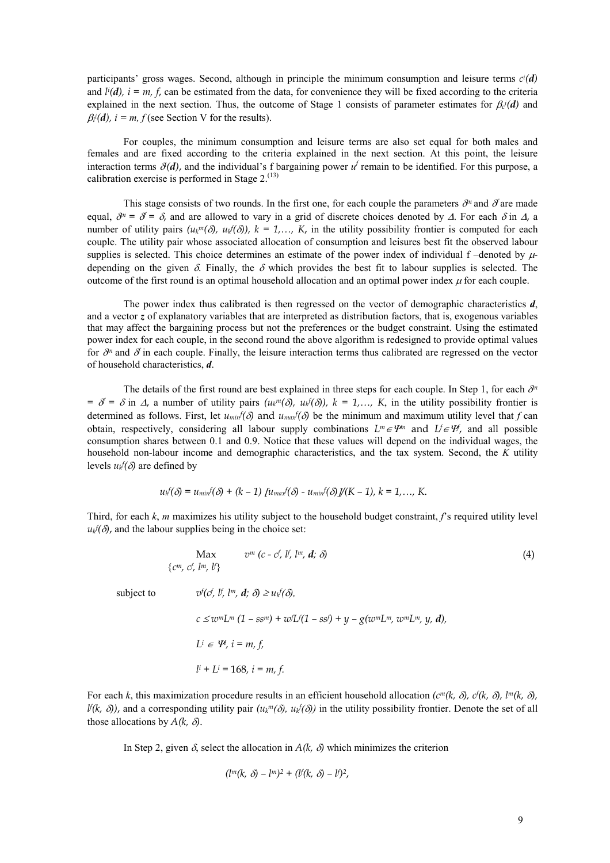participants' gross wages. Second, although in principle the minimum consumption and leisure terms *ci (d)* and  $li(d)$ ,  $i = m$ ,  $f$ , can be estimated from the data, for convenience they will be fixed according to the criteria explained in the next section. Thus, the outcome of Stage 1 consists of parameter estimates for  $\beta_c(d)$  and  $\beta_i^i(d)$ ,  $i = m, f$  (see Section V for the results).

For couples, the minimum consumption and leisure terms are also set equal for both males and females and are fixed according to the criteria explained in the next section. At this point, the leisure interaction terms  $\delta(d)$ , and the individual's f bargaining power  $u^f$  remain to be identified. For this purpose, a calibration exercise is performed in Stage  $2^{(13)}$ .

This stage consists of two rounds. In the first one, for each couple the parameters  $\partial^n$  and  $\partial$  are made equal,  $\partial^n = \partial \bar{\partial}$  and are allowed to vary in a grid of discrete choices denoted by  $\Delta$ . For each  $\delta$  in  $\Delta$ , a number of utility pairs  $(u_k^m(\delta), u_k(\delta))$ ,  $k = 1,..., K$ , in the utility possibility frontier is computed for each couple. The utility pair whose associated allocation of consumption and leisures best fit the observed labour supplies is selected. This choice determines an estimate of the power index of individual  $f$  –denoted by  $\mu$ depending on the given  $\delta$ . Finally, the  $\delta$  which provides the best fit to labour supplies is selected. The outcome of the first round is an optimal household allocation and an optimal power index  $\mu$  for each couple.

The power index thus calibrated is then regressed on the vector of demographic characteristics *d*, and a vector *z* of explanatory variables that are interpreted as distribution factors, that is, exogenous variables that may affect the bargaining process but not the preferences or the budget constraint. Using the estimated power index for each couple, in the second round the above algorithm is redesigned to provide optimal values for  $\partial^n$  and  $\partial$  in each couple. Finally, the leisure interaction terms thus calibrated are regressed on the vector of household characteristics, *d*.

The details of the first round are best explained in three steps for each couple. In Step 1, for each  $\partial^n$  $= \delta = \delta$  in  $\Delta$ , a number of utility pairs  $(u_k^m(\delta), u_k(\delta))$ ,  $k = 1,..., K$ , in the utility possibility frontier is determined as follows. First, let  $u_{min}f(\delta)$  and  $u_{max}f(\delta)$  be the minimum and maximum utility level that *f* can obtain, respectively, considering all labour supply combinations  $L^m \in \mathcal{V}^m$  and  $L^f \in \mathcal{V}^f$ , and all possible consumption shares between 0.1 and 0.9. Notice that these values will depend on the individual wages, the household non-labour income and demographic characteristics, and the tax system. Second, the *K* utility levels  $u_k f(\delta)$  are defined by

$$
u_k^{f}(\delta) = u_{min}^{f}(\delta) + (k-1) \left[ u_{max}^{f}(\delta) - u_{min}^{f}(\delta) \right] / (K-1), k = 1,..., K.
$$

Third, for each *k*, *m* maximizes his utility subject to the household budget constraint, *f*'s required utility level  $u_k$   $f(\delta)$ , and the labour supplies being in the choice set:

$$
\text{Max} \qquad v^{m} (c - c^{f}, l^{f}, l^{m}, d; \delta) \tag{4}
$$
\n
$$
\{c^{m}, c^{f}, l^{m}, l^{f}\}
$$
\n
$$
\text{subject to} \qquad v^{f}(c^{f}, l^{f}, l^{m}, d; \delta) \ge u_{k}(\delta),
$$
\n
$$
c \le w^{m} L^{m} (1 - s s^{m}) + w^{f} L^{f}(1 - s s^{f}) + y - g(w^{m} L^{m}, w^{m} L^{m}, y, d),
$$
\n
$$
L^{i} \in \mathcal{V}, i = m, f,
$$
\n
$$
l^{i} + L^{i} = 168, i = m, f.
$$
\n
$$
(4)
$$

For each *k*, this maximization procedure results in an efficient household allocation (c<sup>m</sup>(*k*,  $\delta$ ),  $c^{f}(k, \delta)$ , l<sup>m</sup>(*k*,  $\delta$ ),  $\mathcal{U}(k, \delta)$ , and a corresponding utility pair  $(u_k^m(\delta), u_k(\delta))$  in the utility possibility frontier. Denote the set of all those allocations by  $A(k, \delta)$ .

In Step 2, given  $\delta$ , select the allocation in  $A(k, \delta)$  which minimizes the criterion

$$
(l^m(k, \delta) - l^m)^2 + (l^f(k, \delta) - l^f)^2,
$$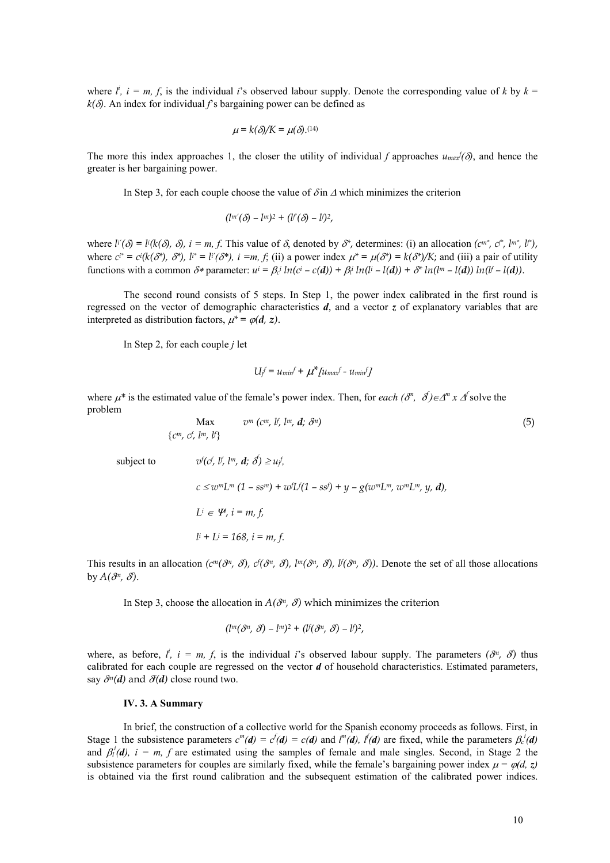where  $l^i$ ,  $i = m, f$ , is the individual *i*'s observed labour supply. Denote the corresponding value of *k* by  $k =$  $k(\delta)$ . An index for individual *f*'s bargaining power can be defined as

$$
\mu = k(\delta)/K = \mu(\delta).^{(14)}
$$

The more this index approaches 1, the closer the utility of individual f approaches  $u_{max}(\delta)$ , and hence the greater is her bargaining power.

In Step 3, for each couple choose the value of  $\delta$  in  $\Delta$  which minimizes the criterion

$$
(l^{m'}(\delta)-l^{m})^2+(l^{r}(\delta)-l^{r})^2,
$$

where  $l^{V}(\delta) = l^{V}(\delta)$ ,  $\delta$ ,  $i = m, f$ . This value of  $\delta$ , denoted by  $\delta^{*}$ , determines: (i) an allocation  $(c^{m^{*}}, c^{r^{*}}, l^{m^{*}}, l^{r^{*}})$ , where  $c^{i*} = c^{i}(k(\delta^*), \delta^*), l^{i*} = l^{i'}(\delta^*), i = m, f$ ; (ii) a power index  $\mu^* = \mu(\delta^*) = k(\delta^*)/K$ ; and (iii) a pair of utility functions with a common  $\delta^*$  parameter:  $u^i = \beta_c^i ln(c^i - c(d)) + \beta_l^i ln(l^i - l(d)) + \delta^* ln(l^m - l(d)) ln(l^r - l(d))$ .

The second round consists of 5 steps. In Step 1, the power index calibrated in the first round is regressed on the vector of demographic characteristics *d*, and a vector *z* of explanatory variables that are interpreted as distribution factors,  $\mu^* = \varphi(d, z)$ .

In Step 2, for each couple *j* let

$$
U_f^f = u_{min}f + \mu^* \mu_{max}f - u_{min}f
$$

where  $\mu^*$  is the estimated value of the female's power index. Then, for *each* ( $\delta^m$ ,  $\delta$ ) $\in \Delta^m$  x  $\Delta^f$  solve the problem

Max  $v^m$  ( $c^m$ ,  $b^r$ ,  $l^m$ ,  $d^r$ ,  $\partial^n$ ) (5) *cm, cf , lm, lf* subject to  $f(c, \, l^f, \, l^m, \, d; \, \delta) \geq u_j f,$  $c \leq w^m L^m (1 - s s^m) + w^f L^f (1 - s s^f) + y - g(w^m L^m, w^m L^m, y, d)$  $L^i \in \mathcal{H}, i = m, f$  *li*  $i + Li = 168$ ,  $i = m, f$ .

This results in an allocation  $(c^m(\partial^n, \partial), c^f(\partial^n, \partial), l^m(\partial^n, \partial), l^f(\partial^n, \partial))$ . Denote the set of all those allocations by  $A(\delta^n, \delta)$ .

In Step 3, choose the allocation in  $A(\partial^n, \partial)$  which minimizes the criterion

$$
(l^m(\delta^n, \delta) - l^m)^2 + (l^f(\delta^n, \delta) - l^f)^2,
$$

where, as before,  $l^i$ ,  $i = m$ ,  $f$ , is the individual *i*'s observed labour supply. The parameters  $(\partial^n, \partial)$  thus calibrated for each couple are regressed on the vector *d* of household characteristics. Estimated parameters, say  $\partial^n(d)$  and  $\partial(d)$  close round two.

#### **IV. 3. A Summary**

In brief, the construction of a collective world for the Spanish economy proceeds as follows. First, in Stage 1 the subsistence parameters  $c^m(d) = c^f(d) = c(d)$  and  $l^m(d)$ ,  $l^f(d)$  are fixed, while the parameters  $\beta_c^i(d)$ and  $\beta_i^i(d)$ ,  $i = m$ , f are estimated using the samples of female and male singles. Second, in Stage 2 the subsistence parameters for couples are similarly fixed, while the female's bargaining power index  $\mu = \varphi(d, z)$ is obtained via the first round calibration and the subsequent estimation of the calibrated power indices.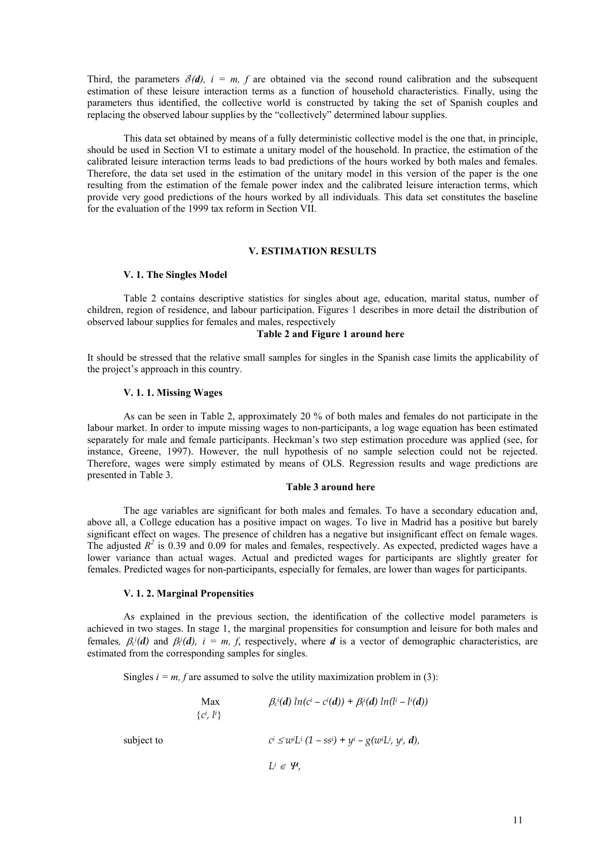Third, the parameters  $\delta(\mathbf{d})$ ,  $i = m$ ,  $f$  are obtained via the second round calibration and the subsequent estimation of these leisure interaction terms as a function of household characteristics. Finally, using the parameters thus identified, the collective world is constructed by taking the set of Spanish couples and replacing the observed labour supplies by the "collectively" determined labour supplies.

This data set obtained by means of a fully deterministic collective model is the one that, in principle, should be used in Section VI to estimate a unitary model of the household. In practice, the estimation of the calibrated leisure interaction terms leads to bad predictions of the hours worked by both males and females. Therefore, the data set used in the estimation of the unitary model in this version of the paper is the one resulting from the estimation of the female power index and the calibrated leisure interaction terms, which provide very good predictions of the hours worked by all individuals. This data set constitutes the baseline for the evaluation of the 1999 tax reform in Section VII.

# **V. ESTIMATION RESULTS**

## **V. 1. The Singles Model**

Table 2 contains descriptive statistics for singles about age, education, marital status, number of children, region of residence, and labour participation. Figures 1 describes in more detail the distribution of observed labour supplies for females and males, respectively

# **Table 2 and Figure 1 around here**

It should be stressed that the relative small samples for singles in the Spanish case limits the applicability of the project's approach in this country.

# **V. 1. 1. Missing Wages**

As can be seen in Table 2, approximately 20 % of both males and females do not participate in the labour market. In order to impute missing wages to non-participants, a log wage equation has been estimated separately for male and female participants. Heckman's two step estimation procedure was applied (see, for instance, Greene, 1997). However, the null hypothesis of no sample selection could not be rejected. Therefore, wages were simply estimated by means of OLS. Regression results and wage predictions are presented in Table 3.

#### **Table 3 around here**

The age variables are significant for both males and females. To have a secondary education and, above all, a College education has a positive impact on wages. To live in Madrid has a positive but barely significant effect on wages. The presence of children has a negative but insignificant effect on female wages. The adjusted  $R^2$  is 0.39 and 0.09 for males and females, respectively. As expected, predicted wages have a lower variance than actual wages. Actual and predicted wages for participants are slightly greater for females. Predicted wages for non-participants, especially for females, are lower than wages for participants.

# **V. 1. 2. Marginal Propensities**

As explained in the previous section, the identification of the collective model parameters is achieved in two stages. In stage 1, the marginal propensities for consumption and leisure for both males and females,  $\beta_c(d)$  and  $\beta_i(d)$ ,  $i = m, f$ , respectively, where *d* is a vector of demographic characteristics, are estimated from the corresponding samples for singles.

Singles  $i = m$ , f are assumed to solve the utility maximization problem in (3):

$$
\begin{array}{ll}\text{Max} & \beta_c^i(\boldsymbol{d}) \ln(c^i - c^i(\boldsymbol{d})) + \beta_l^i(\boldsymbol{d}) \ln(l^i - l^i(\boldsymbol{d}))\\ \{c^i, l^i\}\end{array}
$$

subject to

 $L^i$   $(1 - ss^i) + y^i - g(w^i L^i, y^i, d)$ ,

 $L^i \in \mathcal{H},$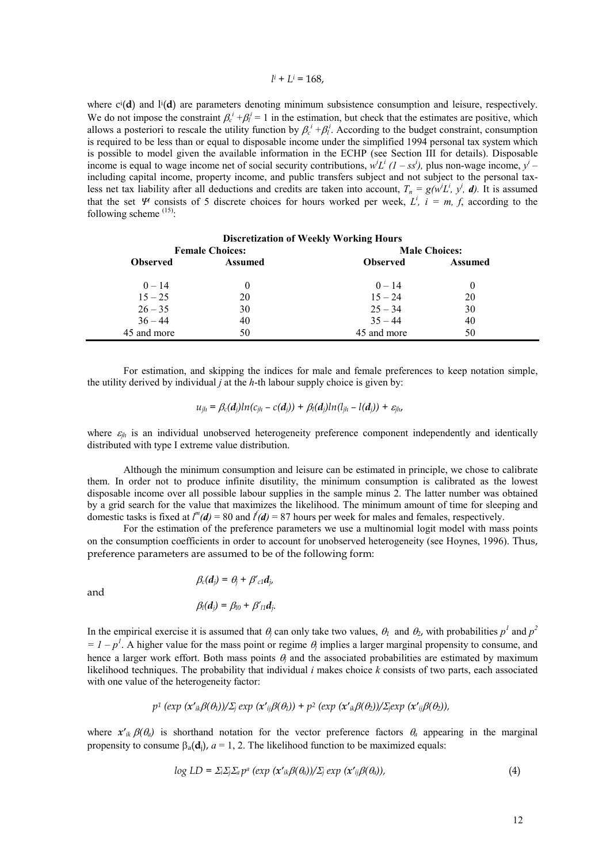#### *li*  $+ L^i = 168$ ,

where  $c^{i}(d)$  and  $l^{i}(d)$  are parameters denoting minimum subsistence consumption and leisure, respectively. We do not impose the constraint  $\beta_c^i + \beta_l^i = 1$  in the estimation, but check that the estimates are positive, which allows a posteriori to rescale the utility function by  $\beta_c^i + \beta_l^i$ . According to the budget constraint, consumption is required to be less than or equal to disposable income under the simplified 1994 personal tax system which is possible to model given the available information in the ECHP (see Section III for details). Disposable income is equal to wage income net of social security contributions,  $w^i L^i$  ( $1 - ss^i$ ), plus non-wage income,  $y^i$  – including capital income, property income, and public transfers subject and not subject to the personal taxless net tax liability after all deductions and credits are taken into account,  $T_n = g(w^i L^i, y^i, d)$ . It is assumed that the set  $\mathcal{V}$  consists of 5 discrete choices for hours worked per week,  $L^i$ ,  $i = m, f$ , according to the following scheme  $(15)$ :

| <b>Discretization of Weekly Working Hours</b> |                        |                 |                      |
|-----------------------------------------------|------------------------|-----------------|----------------------|
|                                               | <b>Female Choices:</b> |                 | <b>Male Choices:</b> |
| <b>Observed</b>                               | <b>Assumed</b>         | <b>Observed</b> | <b>Assumed</b>       |
| $0 - 14$                                      |                        | $0 - 14$        | 0                    |
| $15 - 25$                                     | 20                     | $15 - 24$       | 20                   |
| $26 - 35$                                     | 30                     | $25 - 34$       | 30                   |
| $36 - 44$                                     | 40                     | $35 - 44$       | 40                   |
| 45 and more                                   | 50                     | 45 and more     | 50                   |

For estimation, and skipping the indices for male and female preferences to keep notation simple, the utility derived by individual *j* at the *h*-th labour supply choice is given by:

$$
u_{jh} = \beta_c(\boldsymbol{d}_i)ln(c_{ih} - c(\boldsymbol{d}_i)) + \beta_l(\boldsymbol{d}_i)ln(l_{ih} - l(\boldsymbol{d}_i)) + \varepsilon_{ih},
$$

where  $\varepsilon_{ih}$  is an individual unobserved heterogeneity preference component independently and identically distributed with type I extreme value distribution.

Although the minimum consumption and leisure can be estimated in principle, we chose to calibrate them. In order not to produce infinite disutility, the minimum consumption is calibrated as the lowest disposable income over all possible labour supplies in the sample minus 2. The latter number was obtained by a grid search for the value that maximizes the likelihood. The minimum amount of time for sleeping and domestic tasks is fixed at  $l^m(d) = 80$  and  $l^f(d) = 87$  hours per week for males and females, respectively.

For the estimation of the preference parameters we use a multinomial logit model with mass points on the consumption coefficients in order to account for unobserved heterogeneity (see Hoynes, 1996). Thus, preference parameters are assumed to be of the following form:

and

$$
\beta_c(\boldsymbol{d}_j) = \theta_j + \beta'_{c1}\boldsymbol{d}_j,
$$
  

$$
\beta_l(\boldsymbol{d}_j) = \beta_{l0} + \beta'_{l1}\boldsymbol{d}_j.
$$

In the empirical exercise it is assumed that  $\theta_i$  can only take two values,  $\theta_1$  and  $\theta_2$ , with probabilities  $p^1$  and  $p^2$  $I = I - p<sup>1</sup>$ . A higher value for the mass point or regime  $\theta_j$  implies a larger marginal propensity to consume, and hence a larger work effort. Both mass points  $\theta$  and the associated probabilities are estimated by maximum likelihood techniques. The probability that individual *i* makes choice *k* consists of two parts, each associated with one value of the heterogeneity factor:

$$
p^1
$$
 (exp  $(x'_{ik}\beta(\theta_1))/\sum_j exp(x'_{ij}\beta(\theta_1)) + p^2 (exp(x'_{ik}\beta(\theta_2))/\sum_j exp(x'_{ij}\beta(\theta_2)),$ 

where  $x'_{ik}\beta(\theta_a)$  is shorthand notation for the vector preference factors  $\theta_a$  appearing in the marginal propensity to consume  $\beta_a(\mathbf{d}_i)$ ,  $a = 1, 2$ . The likelihood function to be maximized equals:

$$
log LD = \Sigma_{i}\Sigma_{j}\Sigma_{a}p^{a} (exp (\mathbf{x}'_{ik}\beta(\theta_{a}))/\Sigma_{j} exp (\mathbf{x}'_{ij}\beta(\theta_{a})),
$$
\n(4)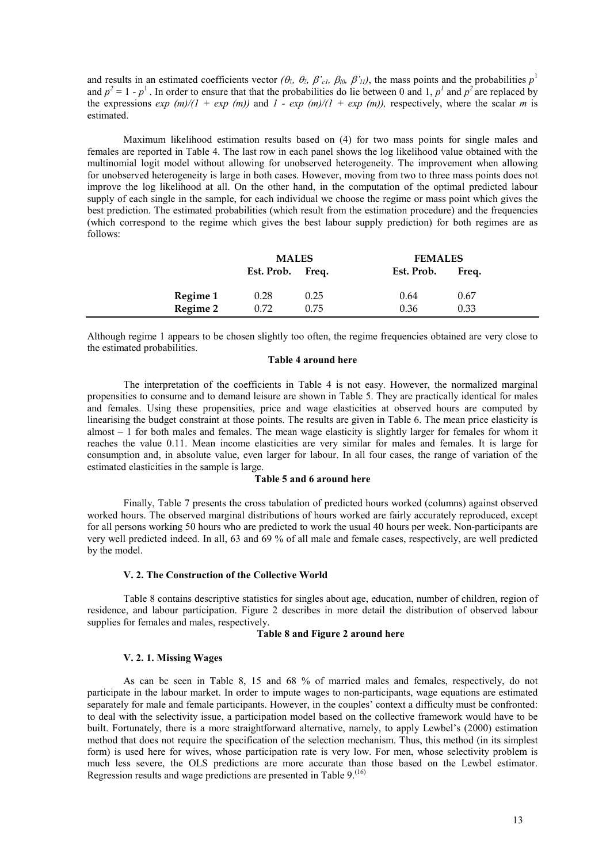and results in an estimated coefficients vector  $(\theta_1, \theta_2, \beta'_c, \beta_{l0}, \beta'_{l1})$ , the mass points and the probabilities  $p^1$ and  $p^2 = 1 - p^1$ . In order to ensure that that the probabilities do lie between 0 and 1,  $p^1$  and  $p^2$  are replaced by the expressions *exp* (*m*)/(1 + *exp* (*m*)) and  $1 - exp(m)/(1 + exp(m))$ , respectively, where the scalar *m* is estimated.

Maximum likelihood estimation results based on (4) for two mass points for single males and females are reported in Table 4. The last row in each panel shows the log likelihood value obtained with the multinomial logit model without allowing for unobserved heterogeneity. The improvement when allowing for unobserved heterogeneity is large in both cases. However, moving from two to three mass points does not improve the log likelihood at all. On the other hand, in the computation of the optimal predicted labour supply of each single in the sample, for each individual we choose the regime or mass point which gives the best prediction. The estimated probabilities (which result from the estimation procedure) and the frequencies (which correspond to the regime which gives the best labour supply prediction) for both regimes are as follows:

|          | <b>MALES</b>     |      | <b>FEMALES</b>      |  |
|----------|------------------|------|---------------------|--|
|          | Est. Prob. Freq. |      | Est. Prob.<br>Freq. |  |
| Regime 1 | 0.28             | 0.25 | 0.67<br>0.64        |  |
| Regime 2 | 0.72             | 0.75 | 0.33<br>0.36        |  |

Although regime 1 appears to be chosen slightly too often, the regime frequencies obtained are very close to the estimated probabilities.

# **Table 4 around here**

The interpretation of the coefficients in Table 4 is not easy. However, the normalized marginal propensities to consume and to demand leisure are shown in Table 5. They are practically identical for males and females. Using these propensities, price and wage elasticities at observed hours are computed by linearising the budget constraint at those points. The results are given in Table 6. The mean price elasticity is almost – 1 for both males and females. The mean wage elasticity is slightly larger for females for whom it reaches the value 0.11. Mean income elasticities are very similar for males and females. It is large for consumption and, in absolute value, even larger for labour. In all four cases, the range of variation of the estimated elasticities in the sample is large.

# **Table 5 and 6 around here**

Finally, Table 7 presents the cross tabulation of predicted hours worked (columns) against observed worked hours. The observed marginal distributions of hours worked are fairly accurately reproduced, except for all persons working 50 hours who are predicted to work the usual 40 hours per week. Non-participants are very well predicted indeed. In all, 63 and 69 % of all male and female cases, respectively, are well predicted by the model.

# **V. 2. The Construction of the Collective World**

Table 8 contains descriptive statistics for singles about age, education, number of children, region of residence, and labour participation. Figure 2 describes in more detail the distribution of observed labour supplies for females and males, respectively.

# **Table 8 and Figure 2 around here**

#### **V. 2. 1. Missing Wages**

As can be seen in Table 8, 15 and 68 % of married males and females, respectively, do not participate in the labour market. In order to impute wages to non-participants, wage equations are estimated separately for male and female participants. However, in the couples' context a difficulty must be confronted: to deal with the selectivity issue, a participation model based on the collective framework would have to be built. Fortunately, there is a more straightforward alternative, namely, to apply Lewbel's (2000) estimation method that does not require the specification of the selection mechanism. Thus, this method (in its simplest form) is used here for wives, whose participation rate is very low. For men, whose selectivity problem is much less severe, the OLS predictions are more accurate than those based on the Lewbel estimator. Regression results and wage predictions are presented in Table  $9<sup>(16)</sup>$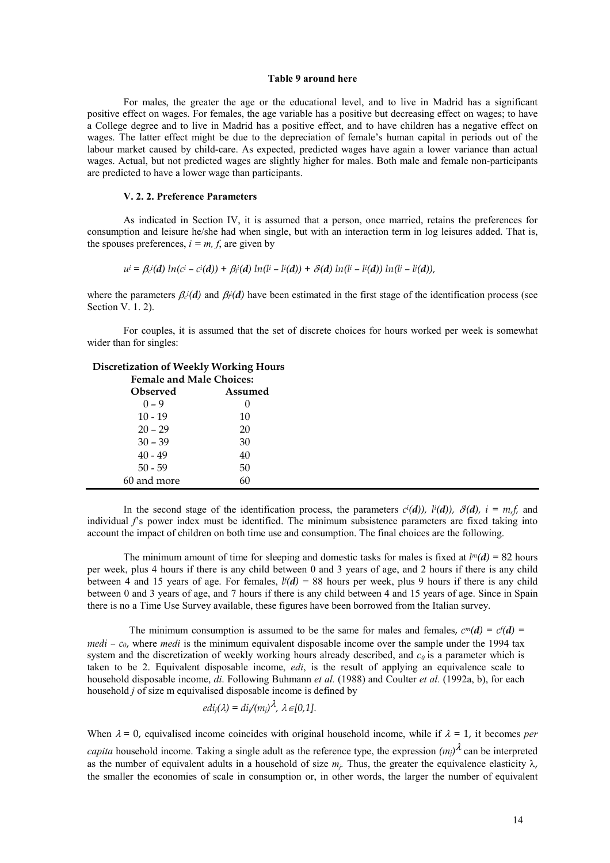#### **Table 9 around here**

For males, the greater the age or the educational level, and to live in Madrid has a significant positive effect on wages. For females, the age variable has a positive but decreasing effect on wages; to have a College degree and to live in Madrid has a positive effect, and to have children has a negative effect on wages. The latter effect might be due to the depreciation of female's human capital in periods out of the labour market caused by child-care. As expected, predicted wages have again a lower variance than actual wages. Actual, but not predicted wages are slightly higher for males. Both male and female non-participants are predicted to have a lower wage than participants.

# **V. 2. 2. Preference Parameters**

As indicated in Section IV, it is assumed that a person, once married, retains the preferences for consumption and leisure he/she had when single, but with an interaction term in log leisures added. That is, the spouses preferences,  $i = m, f$ , are given by

$$
u^{i} = \beta_{c}(d) \ln(c^{i} - c^{i}(d)) + \beta_{i}(d) \ln(l^{i} - l^{i}(d)) + \delta(d) \ln(l^{i} - l^{i}(d)) \ln(l^{j} - l^{j}(d)),
$$

where the parameters  $\beta_c(d)$  and  $\beta_f(d)$  have been estimated in the first stage of the identification process (see Section V. 1. 2).

For couples, it is assumed that the set of discrete choices for hours worked per week is somewhat wider than for singles:

# **Discretization of Weekly Working Hours**

| <b>Female and Male Choices:</b> |         |  |
|---------------------------------|---------|--|
| <b>Observed</b>                 | Assumed |  |
| $0 - 9$                         |         |  |
| $10 - 19$                       | 10      |  |
| $20 - 29$                       | 20      |  |
| $30 - 39$                       | 30      |  |
| $40 - 49$                       | 40      |  |
| $50 - 59$                       | 50      |  |
| 60 and more                     | 60      |  |

In the second stage of the identification process, the parameters  $c^i(d)$ ,  $\bar{b}(d)$ ,  $\bar{d}(d)$ ,  $i = m_i f$ , and individual *f*'s power index must be identified. The minimum subsistence parameters are fixed taking into account the impact of children on both time use and consumption. The final choices are the following.

The minimum amount of time for sleeping and domestic tasks for males is fixed at  $l^m(d) = 82$  hours per week, plus 4 hours if there is any child between 0 and 3 years of age, and 2 hours if there is any child between 4 and 15 years of age. For females,  $l/d = 88$  hours per week, plus 9 hours if there is any child between 0 and 3 years of age, and 7 hours if there is any child between 4 and 15 years of age. Since in Spain there is no a Time Use Survey available, these figures have been borrowed from the Italian survey.

The minimum consumption is assumed to be the same for males and females,  $c^m(d) = c^f(d)$ *medi – c0*, where *medi* is the minimum equivalent disposable income over the sample under the 1994 tax system and the discretization of weekly working hours already described, and  $c_0$  is a parameter which is taken to be 2. Equivalent disposable income, *edi*, is the result of applying an equivalence scale to household disposable income, *di*. Following Buhmann *et al.* (1988) and Coulter *et al.* (1992a, b), for each household *j* of size m equivalised disposable income is defined by

$$
edi_j(\lambda) = di_j/(m_j)\lambda, \lambda \in [0,1].
$$

When  $\lambda = 0$ , equivalised income coincides with original household income, while if  $\lambda = 1$ , it becomes *per capita* household income. Taking a single adult as the reference type, the expression  $(m_i)^{\lambda}$  can be interpreted as the number of equivalent adults in a household of size  $m_i$ . Thus, the greater the equivalence elasticity  $\lambda$ , the smaller the economies of scale in consumption or, in other words, the larger the number of equivalent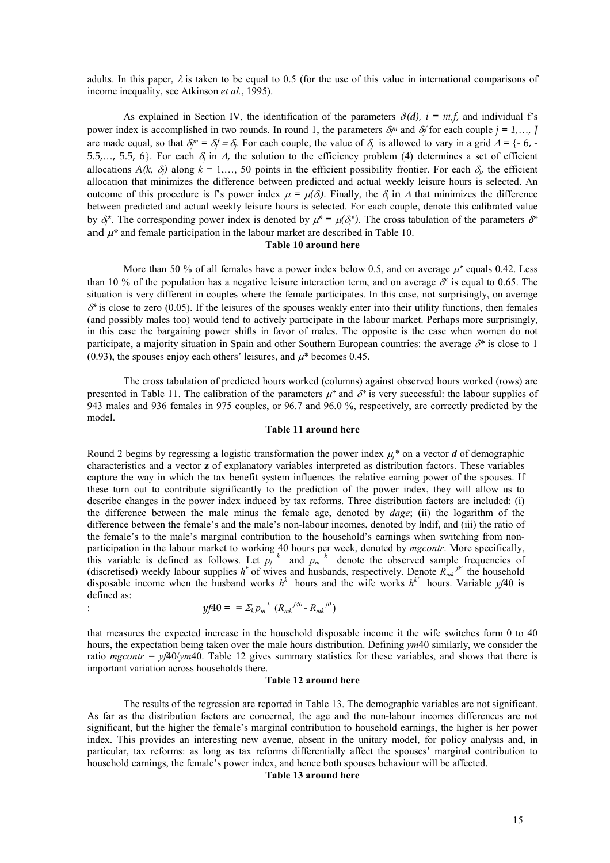adults. In this paper,  $\lambda$  is taken to be equal to 0.5 (for the use of this value in international comparisons of income inequality, see Atkinson *et al.*, 1995).

As explained in Section IV, the identification of the parameters  $\delta(\mathbf{d})$ ,  $i = m, f$ , and individual f's power index is accomplished in two rounds. In round 1, the parameters  $\delta_j^m$  and  $\delta_j^f$  for each couple  $j = 1, ..., J$ are made equal, so that  $\delta_j^m = \delta_j f = \delta_j$ . For each couple, the value of  $\delta_j$  is allowed to vary in a grid  $\Delta = \{-6, -10\}$ 5.5,…, 5.5, 6}. For each  $\delta_j$  in  $\Delta$ , the solution to the efficiency problem (4) determines a set of efficient allocations  $A(k, \delta)$  along  $k = 1, \ldots, 50$  points in the efficient possibility frontier. For each  $\delta$ , the efficient allocation that minimizes the difference between predicted and actual weekly leisure hours is selected. An outcome of this procedure is f's power index  $\mu = \mu(\delta)$ . Finally, the  $\delta$  in  $\Delta$  that minimizes the difference between predicted and actual weekly leisure hours is selected. For each couple, denote this calibrated value by  $\delta_i^*$ . The corresponding power index is denoted by  $\mu^* = \mu(\delta_i^*)$ . The cross tabulation of the parameters  $\delta^*$ and  $\mu^*$  and female participation in the labour market are described in Table 10.

#### **Table 10 around here**

More than 50 % of all females have a power index below 0.5, and on average  $\mu^*$  equals 0.42. Less than 10 % of the population has a negative leisure interaction term, and on average  $\delta^*$  is equal to 0.65. The situation is very different in couples where the female participates. In this case, not surprisingly, on average  $\delta^*$  is close to zero (0.05). If the leisures of the spouses weakly enter into their utility functions, then females (and possibly males too) would tend to actively participate in the labour market. Perhaps more surprisingly, in this case the bargaining power shifts in favor of males. The opposite is the case when women do not participate, a majority situation in Spain and other Southern European countries: the average *\** is close to 1 (0.93), the spouses enjoy each others' leisures, and  $\mu^*$  becomes 0.45.

The cross tabulation of predicted hours worked (columns) against observed hours worked (rows) are presented in Table 11. The calibration of the parameters  $\mu^*$  and  $\delta^*$  is very successful: the labour supplies of 943 males and 936 females in 975 couples, or 96.7 and 96.0 %, respectively, are correctly predicted by the model.

#### **Table 11 around here**

Round 2 begins by regressing a logistic transformation the power index  $\mu_j^*$  on a vector *d* of demographic characteristics and a vector **z** of explanatory variables interpreted as distribution factors. These variables capture the way in which the tax benefit system influences the relative earning power of the spouses. If these turn out to contribute significantly to the prediction of the power index, they will allow us to describe changes in the power index induced by tax reforms. Three distribution factors are included: (i) the difference between the male minus the female age, denoted by *dage*; (ii) the logarithm of the difference between the female's and the male's non-labour incomes, denoted by lndif, and (iii) the ratio of the female's to the male's marginal contribution to the household's earnings when switching from nonparticipation in the labour market to working 40 hours per week, denoted by *mgcontr*. More specifically, this variable is defined as follows. Let  $p_f^k$  and  $p_m^k$  denote the observed sample frequencies of (discretised) weekly labour supplies  $h^k$  of wives and husbands, respectively. Denote  $R_{mk}^{n}$  the household disposable income when the husband works  $h^k$  hours and the wife works  $h^k$  hours. Variable *yf*40 is defined as:  $k \sim$ <sup>*f40*</sup>

$$
yf40 = \sum_{k} p_{m}^{k} (R_{mk}^{f40} - R_{mk}^{f0})
$$

that measures the expected increase in the household disposable income it the wife switches form 0 to 40 hours, the expectation being taken over the male hours distribution. Defining *ym*40 similarly, we consider the ratio *mgcontr = yf*40/*ym*40. Table 12 gives summary statistics for these variables, and shows that there is important variation across households there.

#### **Table 12 around here**

The results of the regression are reported in Table 13. The demographic variables are not significant. As far as the distribution factors are concerned, the age and the non-labour incomes differences are not significant, but the higher the female's marginal contribution to household earnings, the higher is her power index. This provides an interesting new avenue, absent in the unitary model, for policy analysis and, in particular, tax reforms: as long as tax reforms differentially affect the spouses' marginal contribution to household earnings, the female's power index, and hence both spouses behaviour will be affected.

# **Table 13 around here**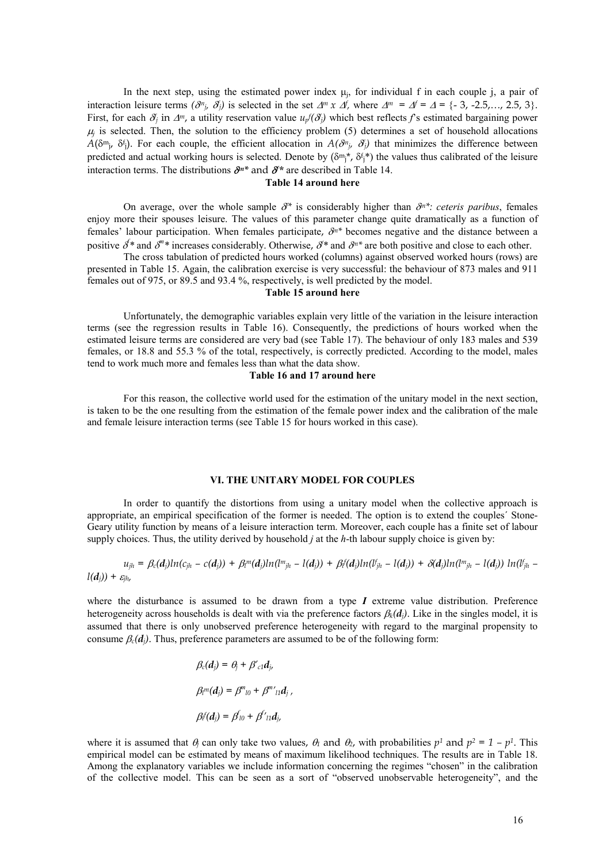In the next step, using the estimated power index  $\mu_i$ , for individual f in each couple j, a pair of interaction leisure terms  $(\partial^n_j, \partial^j_j)$  is selected in the set  $\Delta^m \times \Delta^f$ , where  $\Delta^m = \Delta^f = \Delta = \{-3, -2.5, \dots, 2.5, 3\}.$ First, for each  $\delta_j$  in  $\Delta^m$ , a utility reservation value  $u_j(\delta_j)$  which best reflects f's estimated bargaining power  $\mu_j$  is selected. Then, the solution to the efficiency problem (5) determines a set of household allocations  $A(\delta^{m_i}, \delta^i)$ . For each couple, the efficient allocation in  $A(\delta^{m_i}, \delta^i)$  that minimizes the difference between predicted and actual working hours is selected. Denote by  $(\delta^m)^*$ ,  $\delta^i_j$  the values thus calibrated of the leisure interaction terms. The distributions  $\partial^{n*}$  and  $\partial^{*}$  are described in Table 14.

# **Table 14 around here**

On average, over the whole sample  $\partial^*$  is considerably higher than  $\partial^{n*}$ : *ceteris paribus*, females enjoy more their spouses leisure. The values of this parameter change quite dramatically as a function of females' labour participation. When females participate,  $\delta^{n*}$  becomes negative and the distance between a positive  $\delta^*$  and  $\delta^{m*}$  increases considerably. Otherwise,  $\delta^*$  and  $\delta^{m*}$  are both positive and close to each other.

The cross tabulation of predicted hours worked (columns) against observed worked hours (rows) are presented in Table 15. Again, the calibration exercise is very successful: the behaviour of 873 males and 911 females out of 975, or 89.5 and 93.4 %, respectively, is well predicted by the model.

# **Table 15 around here**

Unfortunately, the demographic variables explain very little of the variation in the leisure interaction terms (see the regression results in Table 16). Consequently, the predictions of hours worked when the estimated leisure terms are considered are very bad (see Table 17). The behaviour of only 183 males and 539 females, or 18.8 and 55.3 % of the total, respectively, is correctly predicted. According to the model, males tend to work much more and females less than what the data show.

# **Table 16 and 17 around here**

For this reason, the collective world used for the estimation of the unitary model in the next section, is taken to be the one resulting from the estimation of the female power index and the calibration of the male and female leisure interaction terms (see Table 15 for hours worked in this case).

#### **VI. THE UNITARY MODEL FOR COUPLES**

In order to quantify the distortions from using a unitary model when the collective approach is appropriate, an empirical specification of the former is needed. The option is to extend the couples´ Stone-Geary utility function by means of a leisure interaction term. Moreover, each couple has a finite set of labour supply choices. Thus, the utility derived by household *j* at the *h*-th labour supply choice is given by:

$$
u_{jh} = \beta_c(d_j)ln(c_{jh} - c(d_j)) + \beta_l^m(d_j)ln(l^m_{jh} - l(d_j)) + \beta_l^r(d_j)ln(l^r_{jh} - l(d_j)) + \delta(d_j)ln(l^m_{jh} - l(d_j))ln(l^r_{jh} - l(d_j))
$$

where the disturbance is assumed to be drawn from a type  $I$  extreme value distribution. Preference heterogeneity across households is dealt with via the preference factors  $\beta_k(d_i)$ . Like in the singles model, it is assumed that there is only unobserved preference heterogeneity with regard to the marginal propensity to consume  $\beta_c(d_i)$ . Thus, preference parameters are assumed to be of the following form:

$$
\beta_c(\boldsymbol{d}_j) = \theta_j + \beta'_{c1}\boldsymbol{d}_j,
$$
\n
$$
\beta_l^m(\boldsymbol{d}_j) = \beta^m_{l0} + \beta^m'_{l1}\boldsymbol{d}_j,
$$
\n
$$
\beta_l^f(\boldsymbol{d}_j) = \beta_{l0} + \beta'_{l1}\boldsymbol{d}_j,
$$

where it is assumed that  $\theta_i$  can only take two values,  $\theta_1$  and  $\theta_2$ , with probabilities  $p^1$  and  $p^2 = 1 - p^1$ . This empirical model can be estimated by means of maximum likelihood techniques. The results are in Table 18. Among the explanatory variables we include information concerning the regimes "chosen" in the calibration of the collective model. This can be seen as a sort of "observed unobservable heterogeneity", and the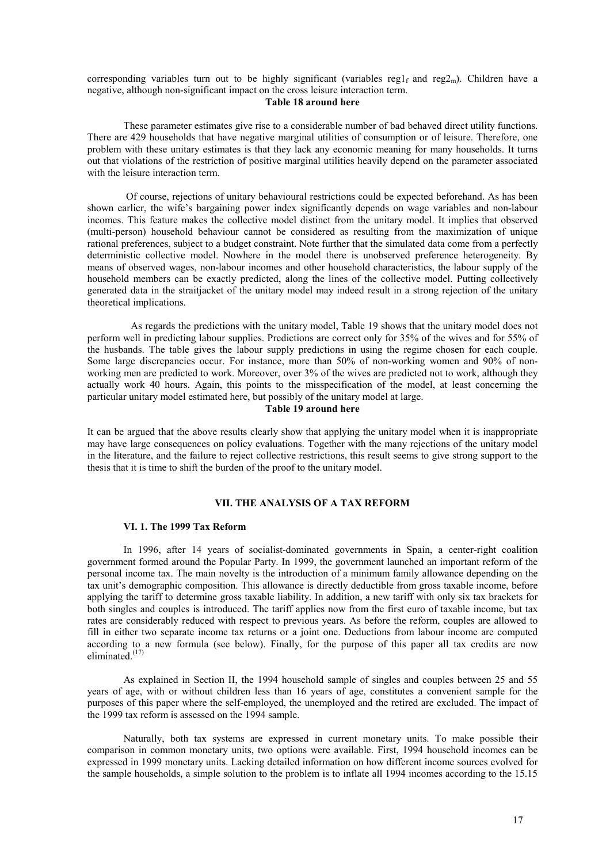corresponding variables turn out to be highly significant (variables reg<sub>1f</sub> and reg<sub>2m</sub>). Children have a negative, although non-significant impact on the cross leisure interaction term.

# **Table 18 around here**

These parameter estimates give rise to a considerable number of bad behaved direct utility functions. There are 429 households that have negative marginal utilities of consumption or of leisure. Therefore, one problem with these unitary estimates is that they lack any economic meaning for many households. It turns out that violations of the restriction of positive marginal utilities heavily depend on the parameter associated with the leisure interaction term.

Of course, rejections of unitary behavioural restrictions could be expected beforehand. As has been shown earlier, the wife's bargaining power index significantly depends on wage variables and non-labour incomes. This feature makes the collective model distinct from the unitary model. It implies that observed (multi-person) household behaviour cannot be considered as resulting from the maximization of unique rational preferences, subject to a budget constraint. Note further that the simulated data come from a perfectly deterministic collective model. Nowhere in the model there is unobserved preference heterogeneity. By means of observed wages, non-labour incomes and other household characteristics, the labour supply of the household members can be exactly predicted, along the lines of the collective model. Putting collectively generated data in the straitjacket of the unitary model may indeed result in a strong rejection of the unitary theoretical implications.

As regards the predictions with the unitary model, Table 19 shows that the unitary model does not perform well in predicting labour supplies. Predictions are correct only for 35% of the wives and for 55% of the husbands. The table gives the labour supply predictions in using the regime chosen for each couple. Some large discrepancies occur. For instance, more than 50% of non-working women and 90% of nonworking men are predicted to work. Moreover, over 3% of the wives are predicted not to work, although they actually work 40 hours. Again, this points to the misspecification of the model, at least concerning the particular unitary model estimated here, but possibly of the unitary model at large.

#### **Table 19 around here**

It can be argued that the above results clearly show that applying the unitary model when it is inappropriate may have large consequences on policy evaluations. Together with the many rejections of the unitary model in the literature, and the failure to reject collective restrictions, this result seems to give strong support to the thesis that it is time to shift the burden of the proof to the unitary model.

# **VII. THE ANALYSIS OF A TAX REFORM**

#### **VI. 1. The 1999 Tax Reform**

In 1996, after 14 years of socialist-dominated governments in Spain, a center-right coalition government formed around the Popular Party. In 1999, the government launched an important reform of the personal income tax. The main novelty is the introduction of a minimum family allowance depending on the tax unit's demographic composition. This allowance is directly deductible from gross taxable income, before applying the tariff to determine gross taxable liability. In addition, a new tariff with only six tax brackets for both singles and couples is introduced. The tariff applies now from the first euro of taxable income, but tax rates are considerably reduced with respect to previous years. As before the reform, couples are allowed to fill in either two separate income tax returns or a joint one. Deductions from labour income are computed according to a new formula (see below). Finally, for the purpose of this paper all tax credits are now eliminated. (17)

As explained in Section II, the 1994 household sample of singles and couples between 25 and 55 years of age, with or without children less than 16 years of age, constitutes a convenient sample for the purposes of this paper where the self-employed, the unemployed and the retired are excluded. The impact of the 1999 tax reform is assessed on the 1994 sample.

Naturally, both tax systems are expressed in current monetary units. To make possible their comparison in common monetary units, two options were available. First, 1994 household incomes can be expressed in 1999 monetary units. Lacking detailed information on how different income sources evolved for the sample households, a simple solution to the problem is to inflate all 1994 incomes according to the 15.15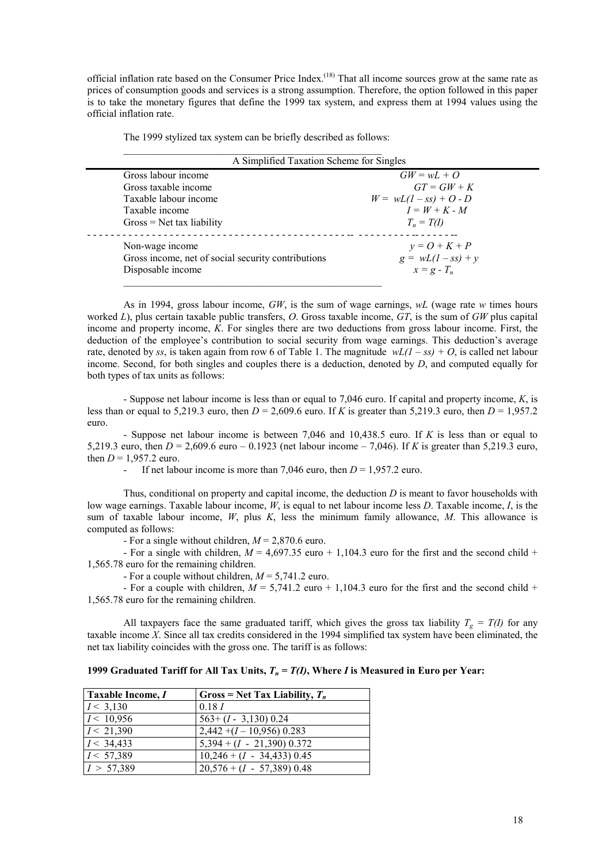official inflation rate based on the Consumer Price Index.<sup>(18)</sup> That all income sources grow at the same rate as prices of consumption goods and services is a strong assumption. Therefore, the option followed in this paper is to take the monetary figures that define the 1999 tax system, and express them at 1994 values using the official inflation rate.

The 1999 stylized tax system can be briefly described as follows: \_\_\_\_\_\_\_\_\_\_\_\_\_\_\_\_\_\_\_\_\_\_\_\_\_\_\_\_\_\_\_\_\_\_\_\_\_\_\_\_\_\_\_\_\_\_\_\_\_\_

| A Simplified Taxation Scheme for Singles           |                          |
|----------------------------------------------------|--------------------------|
| Gross labour income                                | $GW = wL + Q$            |
| Gross taxable income                               | $GT = GW + K$            |
| Taxable labour income                              | $W = wL(1 - ss) + O - D$ |
| Taxable income                                     | $I = W + K - M$          |
| $Gross = Net tax liability$                        | $T_n = T(I)$             |
| Non-wage income                                    | $y = Q + K + P$          |
| Gross income, net of social security contributions | $g = wL(1 - ss) + y$     |
| Disposable income                                  | $x = g - T_n$            |

As in 1994, gross labour income, *GW*, is the sum of wage earnings, *wL* (wage rate *w* times hours worked *L*), plus certain taxable public transfers, *O*. Gross taxable income, *GT*, is the sum of *GW* plus capital income and property income, *K*. For singles there are two deductions from gross labour income. First, the deduction of the employee's contribution to social security from wage earnings. This deduction's average rate, denoted by ss, is taken again from row 6 of Table 1. The magnitude  $wL(1 - ss) + O$ , is called net labour income. Second, for both singles and couples there is a deduction, denoted by *D*, and computed equally for both types of tax units as follows:

- Suppose net labour income is less than or equal to 7,046 euro. If capital and property income, *K*, is less than or equal to 5,219.3 euro, then  $D = 2,609.6$  euro. If K is greater than 5,219.3 euro, then  $D = 1,957.2$ euro.

- Suppose net labour income is between 7,046 and 10,438.5 euro. If *K* is less than or equal to 5,219.3 euro, then *D* = 2,609.6 euro – 0.1923 (net labour income – 7,046). If *K* is greater than 5,219.3 euro, then  $D = 1,957.2$  euro.

If net labour income is more than 7,046 euro, then  $D = 1,957.2$  euro.

Thus, conditional on property and capital income, the deduction *D* is meant to favor households with low wage earnings. Taxable labour income, *W*, is equal to net labour income less *D*. Taxable income, *I*, is the sum of taxable labour income, *W*, plus *K*, less the minimum family allowance, *M*. This allowance is computed as follows:

- For a single without children, *M* = 2,870.6 euro.

- For a single with children,  $M = 4,697.35$  euro + 1,104.3 euro for the first and the second child + 1,565.78 euro for the remaining children.

- For a couple without children, *M* = 5,741.2 euro.

- For a couple with children,  $M = 5,741.2$  euro + 1,104.3 euro for the first and the second child + 1,565.78 euro for the remaining children.

All taxpayers face the same graduated tariff, which gives the gross tax liability  $T_e = T(I)$  for any taxable income  $\overline{X}$ . Since all tax credits considered in the 1994 simplified tax system have been eliminated, the net tax liability coincides with the gross one. The tariff is as follows:

|  | 1999 Graduated Tariff for All Tax Units, $T_n = T(I)$ , Where I is Measured in Euro per Year: |  |
|--|-----------------------------------------------------------------------------------------------|--|
|--|-----------------------------------------------------------------------------------------------|--|

| <b>Taxable Income, I</b> | Gross = Net Tax Liability, $T_n$ |
|--------------------------|----------------------------------|
| I < 3,130                | 0.18 I                           |
| I < 10,956               | $563 + (I - 3,130)$ 0.24         |
| I < 21,390               | $2,442 + (I - 10,956)$ 0.283     |
| I < 34,433               | $5,394 + (I - 21,390) 0.372$     |
| I < 57,389               | $10,246 + (I - 34,433) 0.45$     |
| I > 57,389               | $20,576 + (I - 57,389) 0.48$     |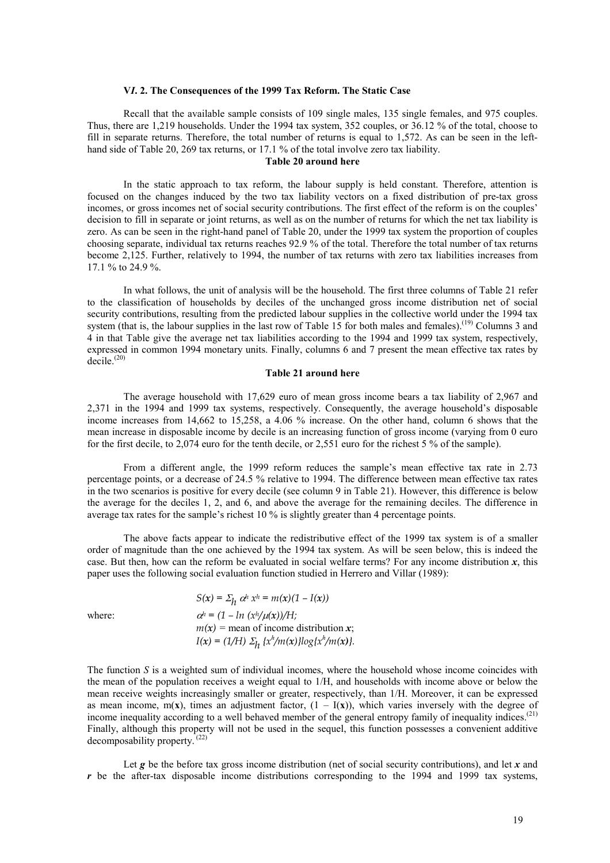#### **V***I***. 2. The Consequences of the 1999 Tax Reform. The Static Case**

Recall that the available sample consists of 109 single males, 135 single females, and 975 couples. Thus, there are 1,219 households. Under the 1994 tax system, 352 couples, or 36.12 % of the total, choose to fill in separate returns. Therefore, the total number of returns is equal to 1,572. As can be seen in the lefthand side of Table 20, 269 tax returns, or 17.1 % of the total involve zero tax liability.

# **Table 20 around here**

In the static approach to tax reform, the labour supply is held constant. Therefore, attention is focused on the changes induced by the two tax liability vectors on a fixed distribution of pre-tax gross incomes, or gross incomes net of social security contributions. The first effect of the reform is on the couples' decision to fill in separate or joint returns, as well as on the number of returns for which the net tax liability is zero. As can be seen in the right-hand panel of Table 20, under the 1999 tax system the proportion of couples choosing separate, individual tax returns reaches 92.9 % of the total. Therefore the total number of tax returns become 2,125. Further, relatively to 1994, the number of tax returns with zero tax liabilities increases from 17.1 % to 24.9 %.

In what follows, the unit of analysis will be the household. The first three columns of Table 21 refer to the classification of households by deciles of the unchanged gross income distribution net of social security contributions, resulting from the predicted labour supplies in the collective world under the 1994 tax system (that is, the labour supplies in the last row of Table 15 for both males and females).<sup>(19)</sup> Columns 3 and 4 in that Table give the average net tax liabilities according to the 1994 and 1999 tax system, respectively, expressed in common 1994 monetary units. Finally, columns 6 and 7 present the mean effective tax rates by decile.<sup>(20)</sup>

#### **Table 21 around here**

The average household with 17,629 euro of mean gross income bears a tax liability of 2,967 and 2,371 in the 1994 and 1999 tax systems, respectively. Consequently, the average household's disposable income increases from 14,662 to 15,258, a 4.06 % increase. On the other hand, column 6 shows that the mean increase in disposable income by decile is an increasing function of gross income (varying from 0 euro for the first decile, to 2,074 euro for the tenth decile, or 2,551 euro for the richest 5 % of the sample).

From a different angle, the 1999 reform reduces the sample's mean effective tax rate in 2.73 percentage points, or a decrease of 24.5 % relative to 1994. The difference between mean effective tax rates in the two scenarios is positive for every decile (see column 9 in Table 21). However, this difference is below the average for the deciles 1, 2, and 6, and above the average for the remaining deciles. The difference in average tax rates for the sample's richest 10 % is slightly greater than 4 percentage points.

The above facts appear to indicate the redistributive effect of the 1999 tax system is of a smaller order of magnitude than the one achieved by the 1994 tax system. As will be seen below, this is indeed the case. But then, how can the reform be evaluated in social welfare terms? For any income distribution  $x$ , this paper uses the following social evaluation function studied in Herrero and Villar (1989):

|        | $S(x) = \sum_h \alpha^h x^h = m(x)(1 - I(x))$        |
|--------|------------------------------------------------------|
| where: | $\alpha^h = (1 - ln (x^h/\mu(x))/H)$                 |
|        | $m(x)$ = mean of income distribution x;              |
|        | $I(x) = (1/H) \sum_h \{x^h/m(x)\} \log\{x^h/m(x)\}.$ |
|        |                                                      |

The function *S* is a weighted sum of individual incomes, where the household whose income coincides with the mean of the population receives a weight equal to 1/H, and households with income above or below the mean receive weights increasingly smaller or greater, respectively, than 1/H. Moreover, it can be expressed as mean income,  $m(x)$ , times an adjustment factor,  $(1 - I(x))$ , which varies inversely with the degree of income inequality according to a well behaved member of the general entropy family of inequality indices.<sup>(21)</sup> Finally, although this property will not be used in the sequel, this function possesses a convenient additive decomposability property.<sup>(22)</sup>

Let  $g$  be the before tax gross income distribution (net of social security contributions), and let  $x$  and *r* be the after-tax disposable income distributions corresponding to the 1994 and 1999 tax systems,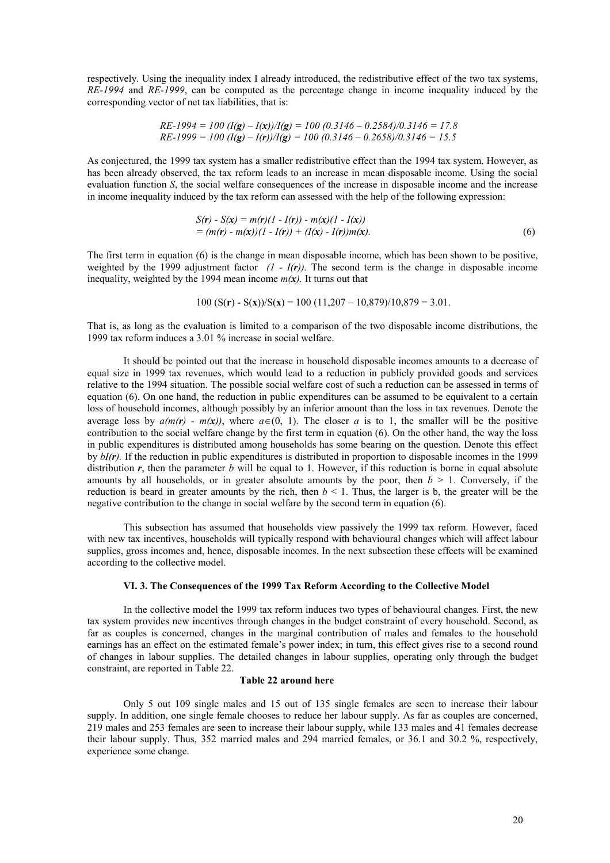respectively. Using the inequality index I already introduced, the redistributive effect of the two tax systems, *RE-1994* and *RE-1999*, can be computed as the percentage change in income inequality induced by the corresponding vector of net tax liabilities, that is:

$$
RE-1994 = 100 (I(g) - I(x))/I(g) = 100 (0.3146 - 0.2584)/0.3146 = 17.8
$$
  
 $RE-1999 = 100 (I(g) - I(r))/I(g) = 100 (0.3146 - 0.2658)/0.3146 = 15.5$ 

As conjectured, the 1999 tax system has a smaller redistributive effect than the 1994 tax system. However, as has been already observed, the tax reform leads to an increase in mean disposable income. Using the social evaluation function *S*, the social welfare consequences of the increase in disposable income and the increase in income inequality induced by the tax reform can assessed with the help of the following expression:

$$
S(r) - S(x) = m(r)(1 - I(r)) - m(x)(1 - I(x))
$$
  
= (m(r) - m(x))(1 - I(r)) + (I(x) - I(r))m(x). (6)

The first term in equation (6) is the change in mean disposable income, which has been shown to be positive, weighted by the 1999 adjustment factor  $(I - I(r))$ . The second term is the change in disposable income inequality, weighted by the 1994 mean income  $m(x)$ . It turns out that

$$
100 (S(r) - S(x))/S(x) = 100 (11,207 - 10,879)/10,879 = 3.01
$$

That is, as long as the evaluation is limited to a comparison of the two disposable income distributions, the 1999 tax reform induces a 3.01 % increase in social welfare.

It should be pointed out that the increase in household disposable incomes amounts to a decrease of equal size in 1999 tax revenues, which would lead to a reduction in publicly provided goods and services relative to the 1994 situation. The possible social welfare cost of such a reduction can be assessed in terms of equation (6). On one hand, the reduction in public expenditures can be assumed to be equivalent to a certain loss of household incomes, although possibly by an inferior amount than the loss in tax revenues. Denote the average loss by  $a(m(r) - m(x))$ , where  $a \in (0, 1)$ . The closer *a* is to 1, the smaller will be the positive contribution to the social welfare change by the first term in equation (6). On the other hand, the way the loss in public expenditures is distributed among households has some bearing on the question. Denote this effect by *bI(r).* If the reduction in public expenditures is distributed in proportion to disposable incomes in the 1999 distribution  $r$ , then the parameter  $b$  will be equal to 1. However, if this reduction is borne in equal absolute amounts by all households, or in greater absolute amounts by the poor, then  $b > 1$ . Conversely, if the reduction is beard in greater amounts by the rich, then  $b < 1$ . Thus, the larger is b, the greater will be the negative contribution to the change in social welfare by the second term in equation (6).

This subsection has assumed that households view passively the 1999 tax reform. However, faced with new tax incentives, households will typically respond with behavioural changes which will affect labour supplies, gross incomes and, hence, disposable incomes. In the next subsection these effects will be examined according to the collective model.

#### **VI. 3. The Consequences of the 1999 Tax Reform According to the Collective Model**

In the collective model the 1999 tax reform induces two types of behavioural changes. First, the new tax system provides new incentives through changes in the budget constraint of every household. Second, as far as couples is concerned, changes in the marginal contribution of males and females to the household earnings has an effect on the estimated female's power index; in turn, this effect gives rise to a second round of changes in labour supplies. The detailed changes in labour supplies, operating only through the budget constraint, are reported in Table 22.

# **Table 22 around here**

Only 5 out 109 single males and 15 out of 135 single females are seen to increase their labour supply. In addition, one single female chooses to reduce her labour supply. As far as couples are concerned, 219 males and 253 females are seen to increase their labour supply, while 133 males and 41 females decrease their labour supply. Thus, 352 married males and 294 married females, or 36.1 and 30.2 %, respectively, experience some change.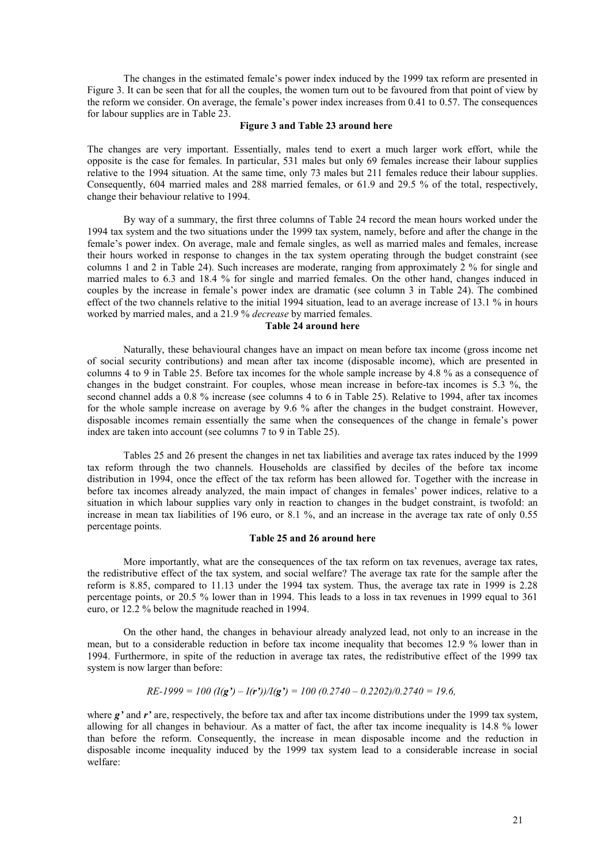The changes in the estimated female's power index induced by the 1999 tax reform are presented in Figure 3. It can be seen that for all the couples, the women turn out to be favoured from that point of view by the reform we consider. On average, the female's power index increases from 0.41 to 0.57. The consequences for labour supplies are in Table 23.

#### **Figure 3 and Table 23 around here**

The changes are very important. Essentially, males tend to exert a much larger work effort, while the opposite is the case for females. In particular, 531 males but only 69 females increase their labour supplies relative to the 1994 situation. At the same time, only 73 males but 211 females reduce their labour supplies. Consequently, 604 married males and 288 married females, or 61.9 and 29.5 % of the total, respectively, change their behaviour relative to 1994.

By way of a summary, the first three columns of Table 24 record the mean hours worked under the 1994 tax system and the two situations under the 1999 tax system, namely, before and after the change in the female's power index. On average, male and female singles, as well as married males and females, increase their hours worked in response to changes in the tax system operating through the budget constraint (see columns 1 and 2 in Table 24). Such increases are moderate, ranging from approximately 2 % for single and married males to 6.3 and 18.4 % for single and married females. On the other hand, changes induced in couples by the increase in female's power index are dramatic (see column 3 in Table 24). The combined effect of the two channels relative to the initial 1994 situation, lead to an average increase of 13.1 % in hours worked by married males, and a 21.9 % *decrease* by married females.

# **Table 24 around here**

Naturally, these behavioural changes have an impact on mean before tax income (gross income net of social security contributions) and mean after tax income (disposable income), which are presented in columns 4 to 9 in Table 25. Before tax incomes for the whole sample increase by 4.8 % as a consequence of changes in the budget constraint. For couples, whose mean increase in before-tax incomes is 5.3 %, the second channel adds a 0.8 % increase (see columns 4 to 6 in Table 25). Relative to 1994, after tax incomes for the whole sample increase on average by 9.6 % after the changes in the budget constraint. However, disposable incomes remain essentially the same when the consequences of the change in female's power index are taken into account (see columns 7 to 9 in Table 25).

Tables 25 and 26 present the changes in net tax liabilities and average tax rates induced by the 1999 tax reform through the two channels. Households are classified by deciles of the before tax income distribution in 1994, once the effect of the tax reform has been allowed for. Together with the increase in before tax incomes already analyzed, the main impact of changes in females' power indices, relative to a situation in which labour supplies vary only in reaction to changes in the budget constraint, is twofold: an increase in mean tax liabilities of 196 euro, or 8.1 %, and an increase in the average tax rate of only 0.55 percentage points.

#### **Table 25 and 26 around here**

More importantly, what are the consequences of the tax reform on tax revenues, average tax rates, the redistributive effect of the tax system, and social welfare? The average tax rate for the sample after the reform is 8.85, compared to 11.13 under the 1994 tax system. Thus, the average tax rate in 1999 is 2.28 percentage points, or 20.5 % lower than in 1994. This leads to a loss in tax revenues in 1999 equal to 361 euro, or 12.2 % below the magnitude reached in 1994.

On the other hand, the changes in behaviour already analyzed lead, not only to an increase in the mean, but to a considerable reduction in before tax income inequality that becomes 12.9 % lower than in 1994. Furthermore, in spite of the reduction in average tax rates, the redistributive effect of the 1999 tax system is now larger than before:

$$
RE-1999 = 100 (I(g') - I(r'))/I(g') = 100 (0.2740 - 0.2202)/0.2740 = 19.6,
$$

where  $g'$  and  $r'$  are, respectively, the before tax and after tax income distributions under the 1999 tax system, allowing for all changes in behaviour. As a matter of fact, the after tax income inequality is 14.8 % lower than before the reform. Consequently, the increase in mean disposable income and the reduction in disposable income inequality induced by the 1999 tax system lead to a considerable increase in social welfare: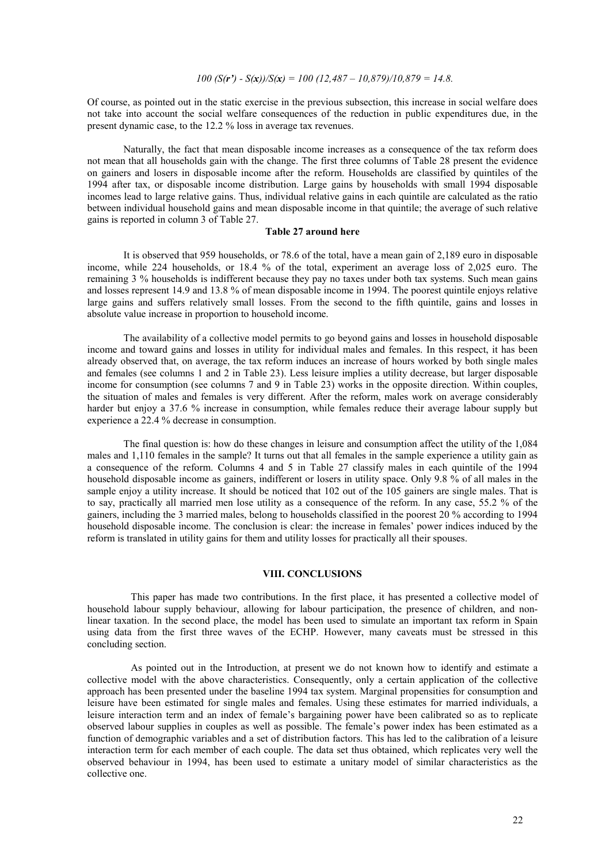$$
100 (S(r') - S(x))/S(x) = 100 (12,487 - 10,879)/10,879 = 14.8.
$$

Of course, as pointed out in the static exercise in the previous subsection, this increase in social welfare does not take into account the social welfare consequences of the reduction in public expenditures due, in the present dynamic case, to the 12.2 % loss in average tax revenues.

Naturally, the fact that mean disposable income increases as a consequence of the tax reform does not mean that all households gain with the change. The first three columns of Table 28 present the evidence on gainers and losers in disposable income after the reform. Households are classified by quintiles of the 1994 after tax, or disposable income distribution. Large gains by households with small 1994 disposable incomes lead to large relative gains. Thus, individual relative gains in each quintile are calculated as the ratio between individual household gains and mean disposable income in that quintile; the average of such relative gains is reported in column 3 of Table 27.

# **Table 27 around here**

It is observed that 959 households, or 78.6 of the total, have a mean gain of 2,189 euro in disposable income, while 224 households, or 18.4 % of the total, experiment an average loss of 2,025 euro. The remaining 3 % households is indifferent because they pay no taxes under both tax systems. Such mean gains and losses represent 14.9 and 13.8 % of mean disposable income in 1994. The poorest quintile enjoys relative large gains and suffers relatively small losses. From the second to the fifth quintile, gains and losses in absolute value increase in proportion to household income.

The availability of a collective model permits to go beyond gains and losses in household disposable income and toward gains and losses in utility for individual males and females. In this respect, it has been already observed that, on average, the tax reform induces an increase of hours worked by both single males and females (see columns 1 and 2 in Table 23). Less leisure implies a utility decrease, but larger disposable income for consumption (see columns 7 and 9 in Table 23) works in the opposite direction. Within couples, the situation of males and females is very different. After the reform, males work on average considerably harder but enjoy a 37.6 % increase in consumption, while females reduce their average labour supply but experience a 22.4 % decrease in consumption.

The final question is: how do these changes in leisure and consumption affect the utility of the 1,084 males and 1,110 females in the sample? It turns out that all females in the sample experience a utility gain as a consequence of the reform. Columns 4 and 5 in Table 27 classify males in each quintile of the 1994 household disposable income as gainers, indifferent or losers in utility space. Only 9.8 % of all males in the sample enjoy a utility increase. It should be noticed that 102 out of the 105 gainers are single males. That is to say, practically all married men lose utility as a consequence of the reform. In any case, 55.2 % of the gainers, including the 3 married males, belong to households classified in the poorest 20 % according to 1994 household disposable income. The conclusion is clear: the increase in females' power indices induced by the reform is translated in utility gains for them and utility losses for practically all their spouses.

# **VIII. CONCLUSIONS**

This paper has made two contributions. In the first place, it has presented a collective model of household labour supply behaviour, allowing for labour participation, the presence of children, and nonlinear taxation. In the second place, the model has been used to simulate an important tax reform in Spain using data from the first three waves of the ECHP. However, many caveats must be stressed in this concluding section.

As pointed out in the Introduction, at present we do not known how to identify and estimate a collective model with the above characteristics. Consequently, only a certain application of the collective approach has been presented under the baseline 1994 tax system. Marginal propensities for consumption and leisure have been estimated for single males and females. Using these estimates for married individuals, a leisure interaction term and an index of female's bargaining power have been calibrated so as to replicate observed labour supplies in couples as well as possible. The female's power index has been estimated as a function of demographic variables and a set of distribution factors. This has led to the calibration of a leisure interaction term for each member of each couple. The data set thus obtained, which replicates very well the observed behaviour in 1994, has been used to estimate a unitary model of similar characteristics as the collective one.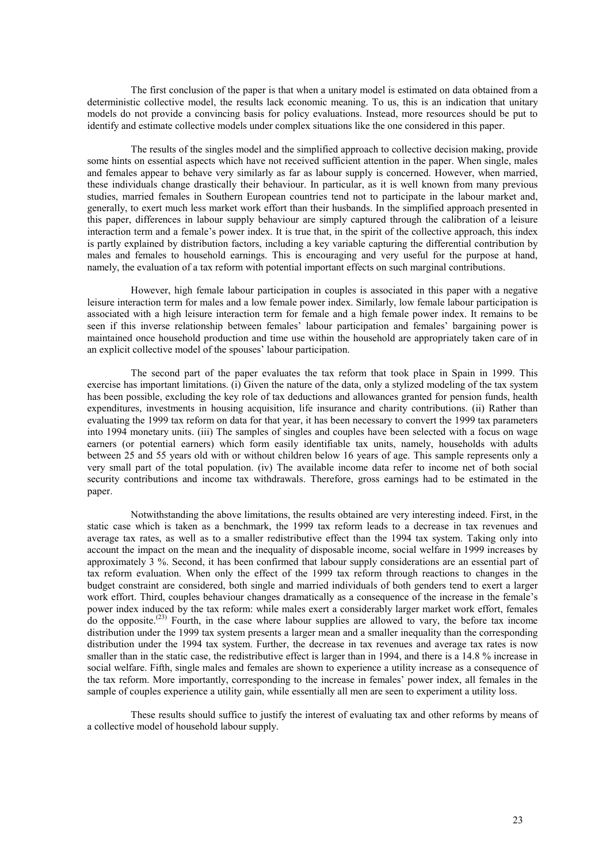The first conclusion of the paper is that when a unitary model is estimated on data obtained from a deterministic collective model, the results lack economic meaning. To us, this is an indication that unitary models do not provide a convincing basis for policy evaluations. Instead, more resources should be put to identify and estimate collective models under complex situations like the one considered in this paper.

The results of the singles model and the simplified approach to collective decision making, provide some hints on essential aspects which have not received sufficient attention in the paper. When single, males and females appear to behave very similarly as far as labour supply is concerned. However, when married, these individuals change drastically their behaviour. In particular, as it is well known from many previous studies, married females in Southern European countries tend not to participate in the labour market and, generally, to exert much less market work effort than their husbands. In the simplified approach presented in this paper, differences in labour supply behaviour are simply captured through the calibration of a leisure interaction term and a female's power index. It is true that, in the spirit of the collective approach, this index is partly explained by distribution factors, including a key variable capturing the differential contribution by males and females to household earnings. This is encouraging and very useful for the purpose at hand, namely, the evaluation of a tax reform with potential important effects on such marginal contributions.

However, high female labour participation in couples is associated in this paper with a negative leisure interaction term for males and a low female power index. Similarly, low female labour participation is associated with a high leisure interaction term for female and a high female power index. It remains to be seen if this inverse relationship between females' labour participation and females' bargaining power is maintained once household production and time use within the household are appropriately taken care of in an explicit collective model of the spouses' labour participation.

The second part of the paper evaluates the tax reform that took place in Spain in 1999. This exercise has important limitations. (i) Given the nature of the data, only a stylized modeling of the tax system has been possible, excluding the key role of tax deductions and allowances granted for pension funds, health expenditures, investments in housing acquisition, life insurance and charity contributions. (ii) Rather than evaluating the 1999 tax reform on data for that year, it has been necessary to convert the 1999 tax parameters into 1994 monetary units. (iii) The samples of singles and couples have been selected with a focus on wage earners (or potential earners) which form easily identifiable tax units, namely, households with adults between 25 and 55 years old with or without children below 16 years of age. This sample represents only a very small part of the total population. (iv) The available income data refer to income net of both social security contributions and income tax withdrawals. Therefore, gross earnings had to be estimated in the paper.

Notwithstanding the above limitations, the results obtained are very interesting indeed. First, in the static case which is taken as a benchmark, the 1999 tax reform leads to a decrease in tax revenues and average tax rates, as well as to a smaller redistributive effect than the 1994 tax system. Taking only into account the impact on the mean and the inequality of disposable income, social welfare in 1999 increases by approximately 3 %. Second, it has been confirmed that labour supply considerations are an essential part of tax reform evaluation. When only the effect of the 1999 tax reform through reactions to changes in the budget constraint are considered, both single and married individuals of both genders tend to exert a larger work effort. Third, couples behaviour changes dramatically as a consequence of the increase in the female's power index induced by the tax reform: while males exert a considerably larger market work effort, females do the opposite.<sup>(23)</sup> Fourth, in the case where labour supplies are allowed to vary, the before tax income distribution under the 1999 tax system presents a larger mean and a smaller inequality than the corresponding distribution under the 1994 tax system. Further, the decrease in tax revenues and average tax rates is now smaller than in the static case, the redistributive effect is larger than in 1994, and there is a 14.8 % increase in social welfare. Fifth, single males and females are shown to experience a utility increase as a consequence of the tax reform. More importantly, corresponding to the increase in females' power index, all females in the sample of couples experience a utility gain, while essentially all men are seen to experiment a utility loss.

These results should suffice to justify the interest of evaluating tax and other reforms by means of a collective model of household labour supply.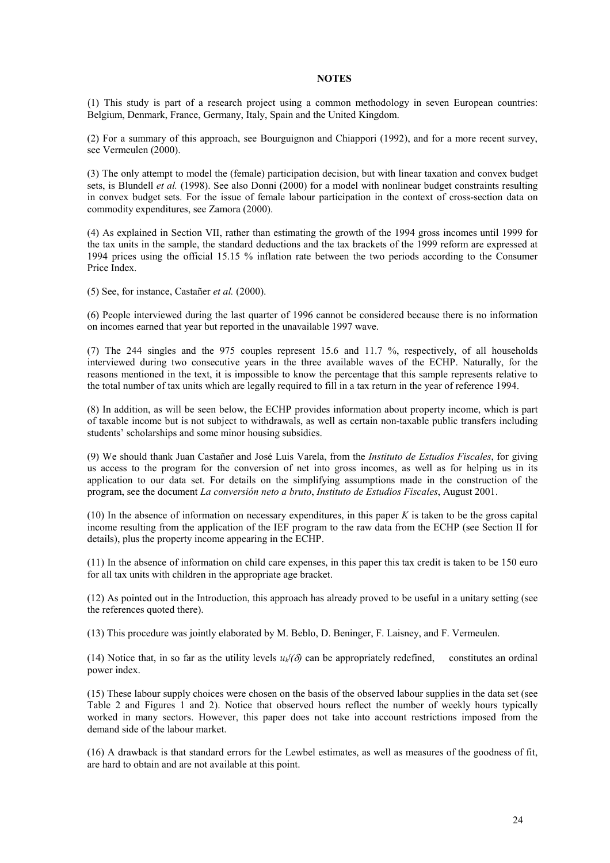# **NOTES**

(1) This study is part of a research project using a common methodology in seven European countries: Belgium, Denmark, France, Germany, Italy, Spain and the United Kingdom.

(2) For a summary of this approach, see Bourguignon and Chiappori (1992), and for a more recent survey, see Vermeulen (2000).

(3) The only attempt to model the (female) participation decision, but with linear taxation and convex budget sets, is Blundell *et al.* (1998). See also Donni (2000) for a model with nonlinear budget constraints resulting in convex budget sets. For the issue of female labour participation in the context of cross-section data on commodity expenditures, see Zamora (2000).

(4) As explained in Section VII, rather than estimating the growth of the 1994 gross incomes until 1999 for the tax units in the sample, the standard deductions and the tax brackets of the 1999 reform are expressed at 1994 prices using the official 15.15 % inflation rate between the two periods according to the Consumer Price Index.

(5) See, for instance, Castañer *et al.* (2000).

(6) People interviewed during the last quarter of 1996 cannot be considered because there is no information on incomes earned that year but reported in the unavailable 1997 wave.

(7) The 244 singles and the 975 couples represent 15.6 and 11.7 %, respectively, of all households interviewed during two consecutive years in the three available waves of the ECHP. Naturally, for the reasons mentioned in the text, it is impossible to know the percentage that this sample represents relative to the total number of tax units which are legally required to fill in a tax return in the year of reference 1994.

(8) In addition, as will be seen below, the ECHP provides information about property income, which is part of taxable income but is not subject to withdrawals, as well as certain non-taxable public transfers including students' scholarships and some minor housing subsidies.

(9) We should thank Juan Castañer and José Luis Varela, from the *Instituto de Estudios Fiscales*, for giving us access to the program for the conversion of net into gross incomes, as well as for helping us in its application to our data set. For details on the simplifying assumptions made in the construction of the program, see the document *La conversión neto a bruto*, *Instituto de Estudios Fiscales*, August 2001.

(10) In the absence of information on necessary expenditures, in this paper *K* is taken to be the gross capital income resulting from the application of the IEF program to the raw data from the ECHP (see Section II for details), plus the property income appearing in the ECHP.

(11) In the absence of information on child care expenses, in this paper this tax credit is taken to be 150 euro for all tax units with children in the appropriate age bracket.

(12) As pointed out in the Introduction, this approach has already proved to be useful in a unitary setting (see the references quoted there).

(13) This procedure was jointly elaborated by M. Beblo, D. Beninger, F. Laisney, and F. Vermeulen.

(14) Notice that, in so far as the utility levels  $u_k$   $\delta$  can be appropriately redefined, constitutes an ordinal power index.

(15) These labour supply choices were chosen on the basis of the observed labour supplies in the data set (see Table 2 and Figures 1 and 2). Notice that observed hours reflect the number of weekly hours typically worked in many sectors. However, this paper does not take into account restrictions imposed from the demand side of the labour market.

(16) A drawback is that standard errors for the Lewbel estimates, as well as measures of the goodness of fit, are hard to obtain and are not available at this point.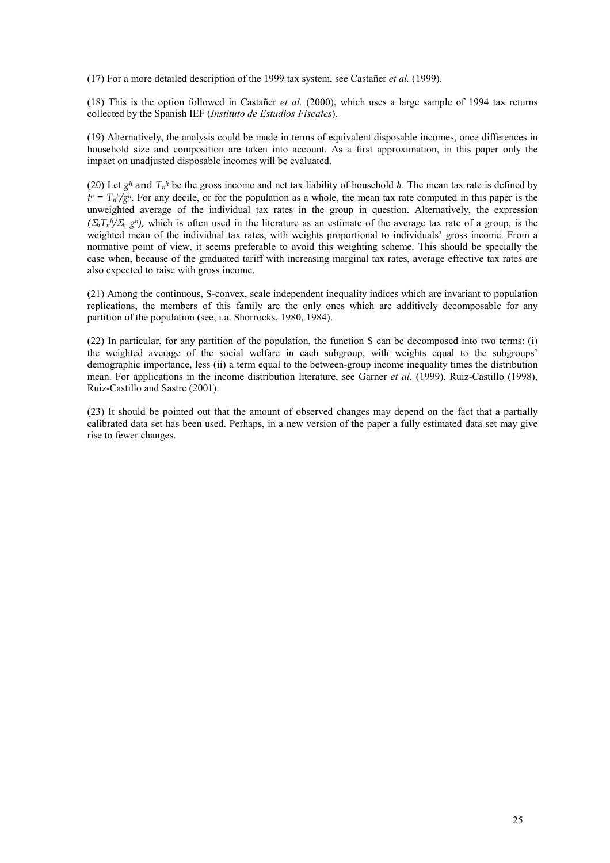(17) For a more detailed description of the 1999 tax system, see Castañer *et al.* (1999).

(18) This is the option followed in Castañer *et al.* (2000), which uses a large sample of 1994 tax returns collected by the Spanish IEF (*Instituto de Estudios Fiscales*).

(19) Alternatively, the analysis could be made in terms of equivalent disposable incomes, once differences in household size and composition are taken into account. As a first approximation, in this paper only the impact on unadjusted disposable incomes will be evaluated.

(20) Let  $g^h$  and  $T_n^h$  be the gross income and net tax liability of household h. The mean tax rate is defined by  $t^h = T_h h / g^h$ . For any decile, or for the population as a whole, the mean tax rate computed in this paper is the unweighted average of the individual tax rates in the group in question. Alternatively, the expression  $(\Sigma_h T_n h / \Sigma_h e^{h})$ , which is often used in the literature as an estimate of the average tax rate of a group, is the weighted mean of the individual tax rates, with weights proportional to individuals' gross income. From a normative point of view, it seems preferable to avoid this weighting scheme. This should be specially the case when, because of the graduated tariff with increasing marginal tax rates, average effective tax rates are also expected to raise with gross income.

(21) Among the continuous, S-convex, scale independent inequality indices which are invariant to population replications, the members of this family are the only ones which are additively decomposable for any partition of the population (see, i.a. Shorrocks, 1980, 1984).

(22) In particular, for any partition of the population, the function S can be decomposed into two terms: (i) the weighted average of the social welfare in each subgroup, with weights equal to the subgroups' demographic importance, less (ii) a term equal to the between-group income inequality times the distribution mean. For applications in the income distribution literature, see Garner *et al.* (1999), Ruiz-Castillo (1998), Ruiz-Castillo and Sastre (2001).

(23) It should be pointed out that the amount of observed changes may depend on the fact that a partially calibrated data set has been used. Perhaps, in a new version of the paper a fully estimated data set may give rise to fewer changes.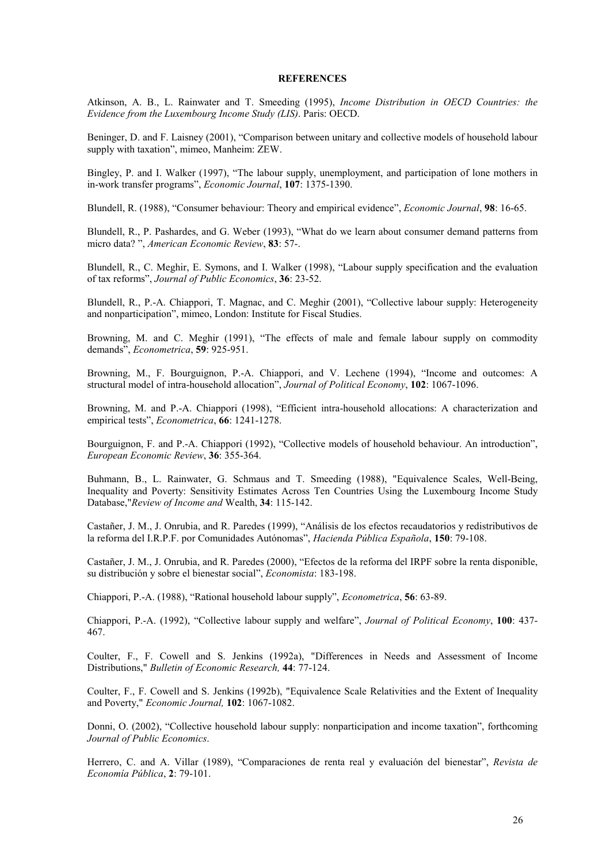#### **REFERENCES**

Atkinson, A. B., L. Rainwater and T. Smeeding (1995), *Income Distribution in OECD Countries: the Evidence from the Luxembourg Income Study (LIS)*. Paris: OECD.

Beninger, D. and F. Laisney (2001), "Comparison between unitary and collective models of household labour supply with taxation", mimeo, Manheim: ZEW.

Bingley, P. and I. Walker (1997), "The labour supply, unemployment, and participation of lone mothers in in-work transfer programs", *Economic Journal*, **107**: 1375-1390.

Blundell, R. (1988), "Consumer behaviour: Theory and empirical evidence", *Economic Journal*, **98**: 16-65.

Blundell, R., P. Pashardes, and G. Weber (1993), "What do we learn about consumer demand patterns from micro data? ", *American Economic Review*, **83**: 57-.

Blundell, R., C. Meghir, E. Symons, and I. Walker (1998), "Labour supply specification and the evaluation of tax reforms", *Journal of Public Economics*, **36**: 23-52.

Blundell, R., P.-A. Chiappori, T. Magnac, and C. Meghir (2001), "Collective labour supply: Heterogeneity and nonparticipation", mimeo, London: Institute for Fiscal Studies.

Browning, M. and C. Meghir (1991), "The effects of male and female labour supply on commodity demands", *Econometrica*, **59**: 925-951.

Browning, M., F. Bourguignon, P.-A. Chiappori, and V. Lechene (1994), "Income and outcomes: A structural model of intra-household allocation", *Journal of Political Economy*, **102**: 1067-1096.

Browning, M. and P.-A. Chiappori (1998), "Efficient intra-household allocations: A characterization and empirical tests", *Econometrica*, **66**: 1241-1278.

Bourguignon, F. and P.-A. Chiappori (1992), "Collective models of household behaviour. An introduction", *European Economic Review*, **36**: 355-364.

Buhmann, B., L. Rainwater, G. Schmaus and T. Smeeding (1988), "Equivalence Scales, Well-Being, Inequality and Poverty: Sensitivity Estimates Across Ten Countries Using the Luxembourg Income Study Database,"*Review of Income and* Wealth, **34**: 115-142.

Castañer, J. M., J. Onrubia, and R. Paredes (1999), "Análisis de los efectos recaudatorios y redistributivos de la reforma del I.R.P.F. por Comunidades Autónomas", *Hacienda Pública Española*, **150**: 79-108.

Castañer, J. M., J. Onrubia, and R. Paredes (2000), "Efectos de la reforma del IRPF sobre la renta disponible, su distribución y sobre el bienestar social", *Economista*: 183-198.

Chiappori, P.-A. (1988), "Rational household labour supply", *Econometrica*, **56**: 63-89.

Chiappori, P.-A. (1992), "Collective labour supply and welfare", *Journal of Political Economy*, **100**: 437- 467.

Coulter, F., F. Cowell and S. Jenkins (1992a), "Differences in Needs and Assessment of Income Distributions," *Bulletin of Economic Research,* **44**: 77-124.

Coulter, F., F. Cowell and S. Jenkins (1992b), "Equivalence Scale Relativities and the Extent of Inequality and Poverty," *Economic Journal,* **102**: 1067-1082.

Donni, O. (2002), "Collective household labour supply: nonparticipation and income taxation", forthcoming *Journal of Public Economics*.

Herrero, C. and A. Villar (1989), "Comparaciones de renta real y evaluación del bienestar", *Revista de Economía Pública*, **2**: 79-101.